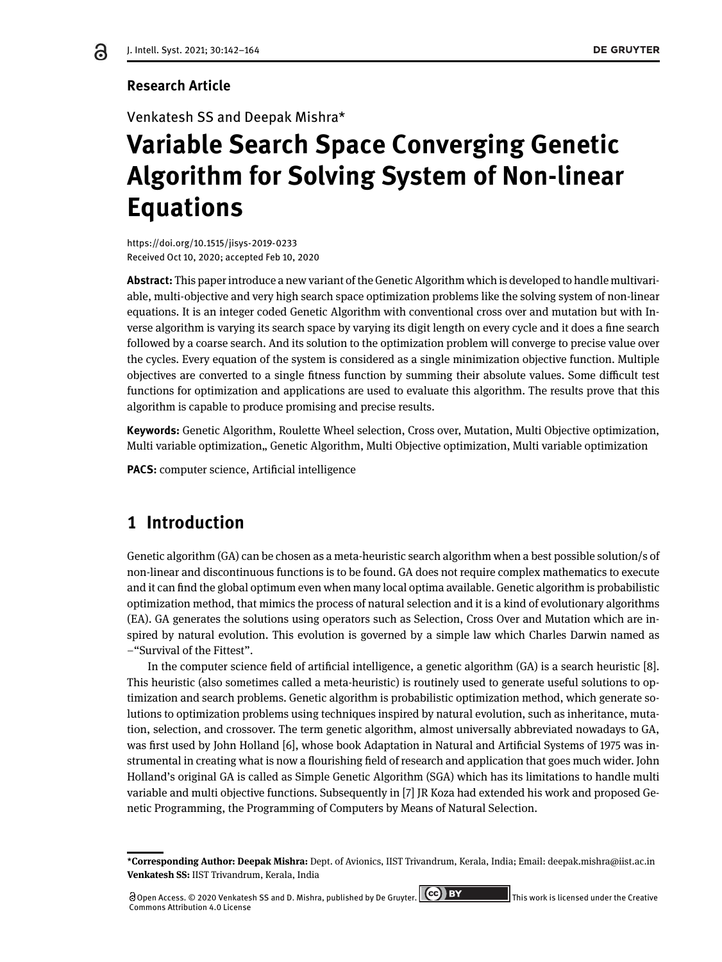## **Research Article**

Venkatesh SS and Deepak Mishra\*

# **Variable Search Space Converging Genetic Algorithm for Solving System of Non-linear Equations**

https://doi.org/10.1515/jisys-2019-0233 Received Oct 10, 2020; accepted Feb 10, 2020

**Abstract:** This paper introduce a new variant of the Genetic Algorithm which is developed to handle multivariable, multi-objective and very high search space optimization problems like the solving system of non-linear equations. It is an integer coded Genetic Algorithm with conventional cross over and mutation but with Inverse algorithm is varying its search space by varying its digit length on every cycle and it does a fine search followed by a coarse search. And its solution to the optimization problem will converge to precise value over the cycles. Every equation of the system is considered as a single minimization objective function. Multiple objectives are converted to a single fitness function by summing their absolute values. Some difficult test functions for optimization and applications are used to evaluate this algorithm. The results prove that this algorithm is capable to produce promising and precise results.

**Keywords:** Genetic Algorithm, Roulette Wheel selection, Cross over, Mutation, Multi Objective optimization, Multi variable optimization,, Genetic Algorithm, Multi Objective optimization, Multi variable optimization

**PACS:** computer science, Artificial intelligence

# **1 Introduction**

Genetic algorithm (GA) can be chosen as a meta-heuristic search algorithm when a best possible solution/s of non-linear and discontinuous functions is to be found. GA does not require complex mathematics to execute and it can find the global optimum even when many local optima available. Genetic algorithm is probabilistic optimization method, that mimics the process of natural selection and it is a kind of evolutionary algorithms (EA). GA generates the solutions using operators such as Selection, Cross Over and Mutation which are inspired by natural evolution. This evolution is governed by a simple law which Charles Darwin named as –"Survival of the Fittest".

In the computer science field of artificial intelligence, a genetic algorithm (GA) is a search heuristic [8]. This heuristic (also sometimes called a meta-heuristic) is routinely used to generate useful solutions to optimization and search problems. Genetic algorithm is probabilistic optimization method, which generate solutions to optimization problems using techniques inspired by natural evolution, such as inheritance, mutation, selection, and crossover. The term genetic algorithm, almost universally abbreviated nowadays to GA, was first used by John Holland [6], whose book Adaptation in Natural and Artificial Systems of 1975 was instrumental in creating what is now a flourishing field of research and application that goes much wider. John Holland's original GA is called as Simple Genetic Algorithm (SGA) which has its limitations to handle multi variable and multi objective functions. Subsequently in [7] JR Koza had extended his work and proposed Genetic Programming, the Programming of Computers by Means of Natural Selection.

**<sup>\*</sup>Corresponding Author: Deepak Mishra:** Dept. of Avionics, IIST Trivandrum, Kerala, India; Email: deepak.mishra@iist.ac.in **Venkatesh SS:** IIST Trivandrum, Kerala, India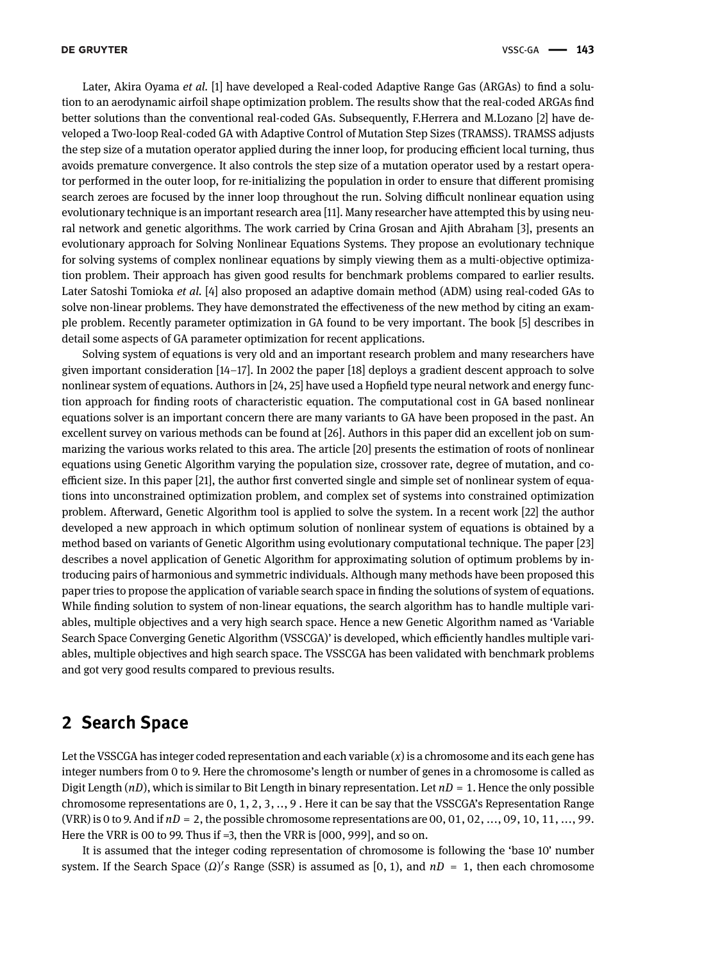Later, Akira Oyama *et al.* [1] have developed a Real-coded Adaptive Range Gas (ARGAs) to find a solution to an aerodynamic airfoil shape optimization problem. The results show that the real-coded ARGAs find better solutions than the conventional real-coded GAs. Subsequently, F.Herrera and M.Lozano [2] have developed a Two-loop Real-coded GA with Adaptive Control of Mutation Step Sizes (TRAMSS). TRAMSS adjusts the step size of a mutation operator applied during the inner loop, for producing efficient local turning, thus avoids premature convergence. It also controls the step size of a mutation operator used by a restart operator performed in the outer loop, for re-initializing the population in order to ensure that different promising search zeroes are focused by the inner loop throughout the run. Solving difficult nonlinear equation using evolutionary technique is an important research area [11]. Many researcher have attempted this by using neural network and genetic algorithms. The work carried by Crina Grosan and Ajith Abraham [3], presents an evolutionary approach for Solving Nonlinear Equations Systems. They propose an evolutionary technique for solving systems of complex nonlinear equations by simply viewing them as a multi-objective optimization problem. Their approach has given good results for benchmark problems compared to earlier results. Later Satoshi Tomioka *et al.* [4] also proposed an adaptive domain method (ADM) using real-coded GAs to solve non-linear problems. They have demonstrated the effectiveness of the new method by citing an example problem. Recently parameter optimization in GA found to be very important. The book [5] describes in detail some aspects of GA parameter optimization for recent applications.

Solving system of equations is very old and an important research problem and many researchers have given important consideration [14–17]. In 2002 the paper [18] deploys a gradient descent approach to solve nonlinear system of equations. Authors in [24, 25] have used a Hopfield type neural network and energy function approach for finding roots of characteristic equation. The computational cost in GA based nonlinear equations solver is an important concern there are many variants to GA have been proposed in the past. An excellent survey on various methods can be found at [26]. Authors in this paper did an excellent job on summarizing the various works related to this area. The article [20] presents the estimation of roots of nonlinear equations using Genetic Algorithm varying the population size, crossover rate, degree of mutation, and coefficient size. In this paper [21], the author first converted single and simple set of nonlinear system of equations into unconstrained optimization problem, and complex set of systems into constrained optimization problem. Afterward, Genetic Algorithm tool is applied to solve the system. In a recent work [22] the author developed a new approach in which optimum solution of nonlinear system of equations is obtained by a method based on variants of Genetic Algorithm using evolutionary computational technique. The paper [23] describes a novel application of Genetic Algorithm for approximating solution of optimum problems by introducing pairs of harmonious and symmetric individuals. Although many methods have been proposed this paper tries to propose the application of variable search space in finding the solutions of system of equations. While finding solution to system of non-linear equations, the search algorithm has to handle multiple variables, multiple objectives and a very high search space. Hence a new Genetic Algorithm named as 'Variable Search Space Converging Genetic Algorithm (VSSCGA)' is developed, which efficiently handles multiple variables, multiple objectives and high search space. The VSSCGA has been validated with benchmark problems and got very good results compared to previous results.

# **2 Search Space**

Let the VSSCGA has integer coded representation and each variable (*x*) is a chromosome and its each gene has integer numbers from 0 to 9. Here the chromosome's length or number of genes in a chromosome is called as Digit Length (*nD*), which is similar to Bit Length in binary representation. Let *nD* = 1. Hence the only possible chromosome representations are 0, 1, 2, 3, .., 9 . Here it can be say that the VSSCGA's Representation Range (VRR) is 0 to 9. And if *nD* = 2, the possible chromosome representations are 00, 01, 02, ..., 09, 10, 11, ..., 99. Here the VRR is 00 to 99. Thus if =3, then the VRR is [000, 999], and so on.

It is assumed that the integer coding representation of chromosome is following the 'base 10' number system. If the Search Space (*Ω*) ′ *s* Range (SSR) is assumed as [0, 1), and *nD* = 1, then each chromosome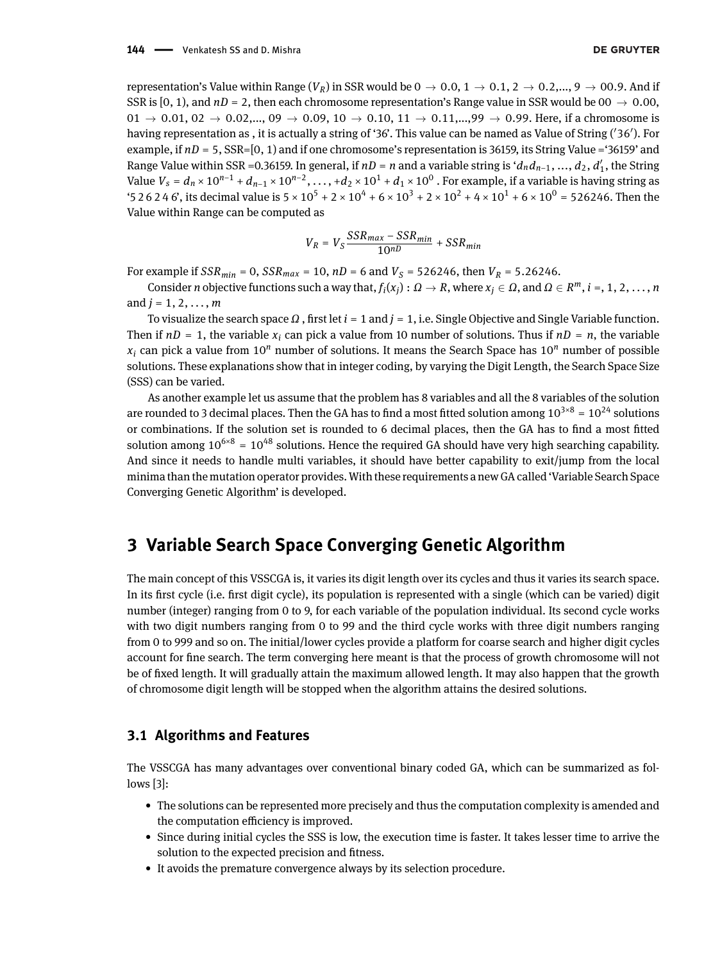#### 144 - Venkatesh SS and D. Mishra

representation's Value within Range ( $V_R$ ) in SSR would be  $0 \to 0.0$ ,  $1 \to 0.1$ ,  $2 \to 0.2$ ,...,  $9 \to 00.9$ . And if SSR is [0, 1), and  $nD = 2$ , then each chromosome representation's Range value in SSR would be 00  $\rightarrow$  0.00,  $0.01 \rightarrow 0.01, 02 \rightarrow 0.02, \dots$   $0.09 \rightarrow 0.09, 10 \rightarrow 0.10, 11 \rightarrow 0.11, \dots$  99  $\rightarrow 0.99$ . Here, if a chromosome is having representation as , it is actually a string of '36'. This value can be named as Value of String ( ′36′ ). For example, if  $nD = 5$ , SSR=[0, 1) and if one chromosome's representation is 36159, its String Value = '36159' and Range Value within SSR =0.36159. In general, if *nD* = *n* and a variable string is '*dndn*−1, ..., *d*2, *d* ′ 1 , the String Value  $V_s = d_n \times 10^{n-1} + d_{n-1} \times 10^{n-2}$ , ..., + $d_2 \times 10^1 + d_1 \times 10^0$  . For example, if a variable is having string as '5 2 6 2 4 6', its decimal value is  $5 \times 10^5 + 2 \times 10^4 + 6 \times 10^3 + 2 \times 10^2 + 4 \times 10^1 + 6 \times 10^0 = 526246$ . Then the Value within Range can be computed as

$$
V_R = V_S \frac{SSR_{max} - SSR_{min}}{10^{nD}} + SSR_{min}
$$

For example if  $SSR_{min} = 0$ ,  $SSR_{max} = 10$ ,  $nD = 6$  and  $V_S = 526246$ , then  $V_R = 5.26246$ .

Consider *n* objective functions such a way that,  $f_i(x_j): \Omega \to R$ , where  $x_j \in \Omega$ , and  $\Omega \in R^m$ ,  $i =, 1, 2, ..., n$ and  $j = 1, 2, ..., m$ 

To visualize the search space *Ω* , first let *i* = 1 and *j* = 1, i.e. Single Objective and Single Variable function. Then if  $nD = 1$ , the variable  $x_i$  can pick a value from 10 number of solutions. Thus if  $nD = n$ , the variable  $x_i$  can pick a value from 10<sup>*n*</sup> number of solutions. It means the Search Space has 10<sup>*n*</sup> number of possible solutions. These explanations show that in integer coding, by varying the Digit Length, the Search Space Size (SSS) can be varied.

As another example let us assume that the problem has 8 variables and all the 8 variables of the solution are rounded to 3 decimal places. Then the GA has to find a most fitted solution among  $10^{3\times8} = 10^{24}$  solutions or combinations. If the solution set is rounded to 6 decimal places, then the GA has to find a most fitted solution among  $10^{6\times8}$  =  $10^{48}$  solutions. Hence the required GA should have very high searching capability. And since it needs to handle multi variables, it should have better capability to exit/jump from the local minima than the mutation operator provides. With these requirements a new GA called 'Variable Search Space Converging Genetic Algorithm' is developed.

# **3 Variable Search Space Converging Genetic Algorithm**

The main concept of this VSSCGA is, it varies its digit length over its cycles and thus it varies its search space. In its first cycle (i.e. first digit cycle), its population is represented with a single (which can be varied) digit number (integer) ranging from 0 to 9, for each variable of the population individual. Its second cycle works with two digit numbers ranging from 0 to 99 and the third cycle works with three digit numbers ranging from 0 to 999 and so on. The initial/lower cycles provide a platform for coarse search and higher digit cycles account for fine search. The term converging here meant is that the process of growth chromosome will not be of fixed length. It will gradually attain the maximum allowed length. It may also happen that the growth of chromosome digit length will be stopped when the algorithm attains the desired solutions.

### **3.1 Algorithms and Features**

The VSSCGA has many advantages over conventional binary coded GA, which can be summarized as follows [3]:

- The solutions can be represented more precisely and thus the computation complexity is amended and the computation efficiency is improved.
- Since during initial cycles the SSS is low, the execution time is faster. It takes lesser time to arrive the solution to the expected precision and fitness.
- It avoids the premature convergence always by its selection procedure.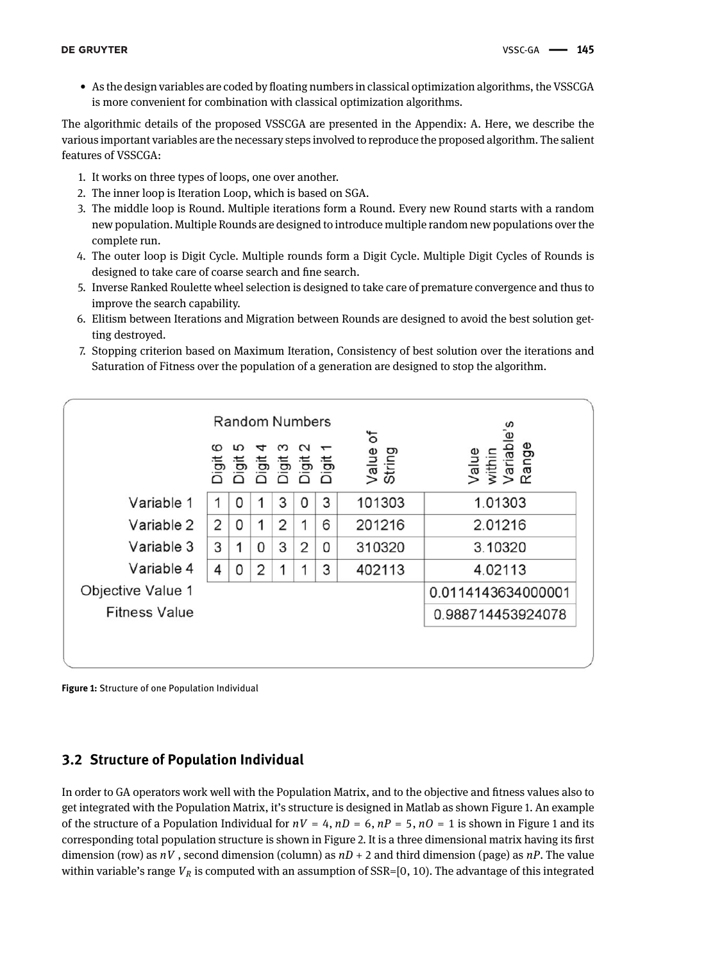• As the design variables are coded by floating numbers in classical optimization algorithms, the VSSCGA is more convenient for combination with classical optimization algorithms.

The algorithmic details of the proposed VSSCGA are presented in the Appendix: A. Here, we describe the various important variables are the necessary steps involved to reproduce the proposed algorithm. The salient features of VSSCGA:

- 1. It works on three types of loops, one over another.
- 2. The inner loop is Iteration Loop, which is based on SGA.
- 3. The middle loop is Round. Multiple iterations form a Round. Every new Round starts with a random new population. Multiple Rounds are designed to introduce multiple random new populations over the complete run.
- 4. The outer loop is Digit Cycle. Multiple rounds form a Digit Cycle. Multiple Digit Cycles of Rounds is designed to take care of coarse search and fine search.
- 5. Inverse Ranked Roulette wheel selection is designed to take care of premature convergence and thus to improve the search capability.
- 6. Elitism between Iterations and Migration between Rounds are designed to avoid the best solution getting destroyed.
- 7. Stopping criterion based on Maximum Iteration, Consistency of best solution over the iterations and Saturation of Fitness over the population of a generation are designed to stop the algorithm.



**Figure 1:** Structure of one Population Individual

# **3.2 Structure of Population Individual**

In order to GA operators work well with the Population Matrix, and to the objective and fitness values also to get integrated with the Population Matrix, it's structure is designed in Matlab as shown Figure 1. An example of the structure of a Population Individual for  $nV = 4$ ,  $nD = 6$ ,  $nP = 5$ ,  $nQ = 1$  is shown in Figure 1 and its corresponding total population structure is shown in Figure 2. It is a three dimensional matrix having its first dimension (row) as *nV* , second dimension (column) as *nD* + 2 and third dimension (page) as *nP*. The value within variable's range  $V_R$  is computed with an assumption of  $SSR=[0, 10)$ . The advantage of this integrated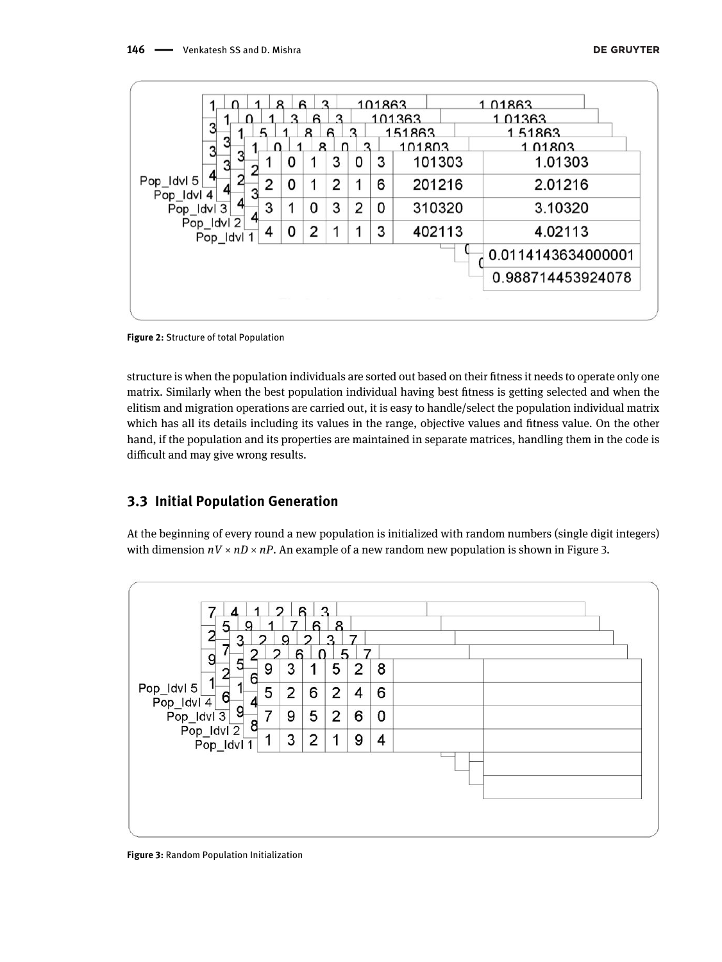|                          | я | ิค | 2  |   |   | 101863 |        | 1.01863            |
|--------------------------|---|----|----|---|---|--------|--------|--------------------|
|                          |   |    | ี  |   |   |        | 101363 | 1 01363            |
| 3                        |   | я  | ิค |   |   |        | 151863 | 1.51863            |
| 3                        |   |    | я  |   |   |        | 101803 | 1 01803            |
|                          |   | 0  |    | 3 | 0 | 3      | 101303 | 1.01303            |
| Pop_Idvl 5<br>Pop_Idvl 4 | 2 | 0  | 1  | 2 | 1 | 6      | 201216 | 2.01216            |
| Pop_Idvl 3               | 3 |    | 0  | 3 | 2 | 0      | 310320 | 3.10320            |
| Pop_Idvl 2<br>Pop_Idvl 1 | 4 | 0  | 2  |   |   | 3      | 402113 | 4.02113            |
|                          |   |    |    |   |   |        |        | 0.0114143634000001 |
|                          |   |    |    |   |   |        |        | 0.988714453924078  |

**Figure 2:** Structure of total Population

structure is when the population individuals are sorted out based on their fitness it needs to operate only one matrix. Similarly when the best population individual having best fitness is getting selected and when the elitism and migration operations are carried out, it is easy to handle/select the population individual matrix which has all its details including its values in the range, objective values and fitness value. On the other hand, if the population and its properties are maintained in separate matrices, handling them in the code is difficult and may give wrong results.

# **3.3 Initial Population Generation**

At the beginning of every round a new population is initialized with random numbers (single digit integers) with dimension  $nV \times nD \times nP$ . An example of a new random new population is shown in Figure 3.



**Figure 3:** Random Population Initialization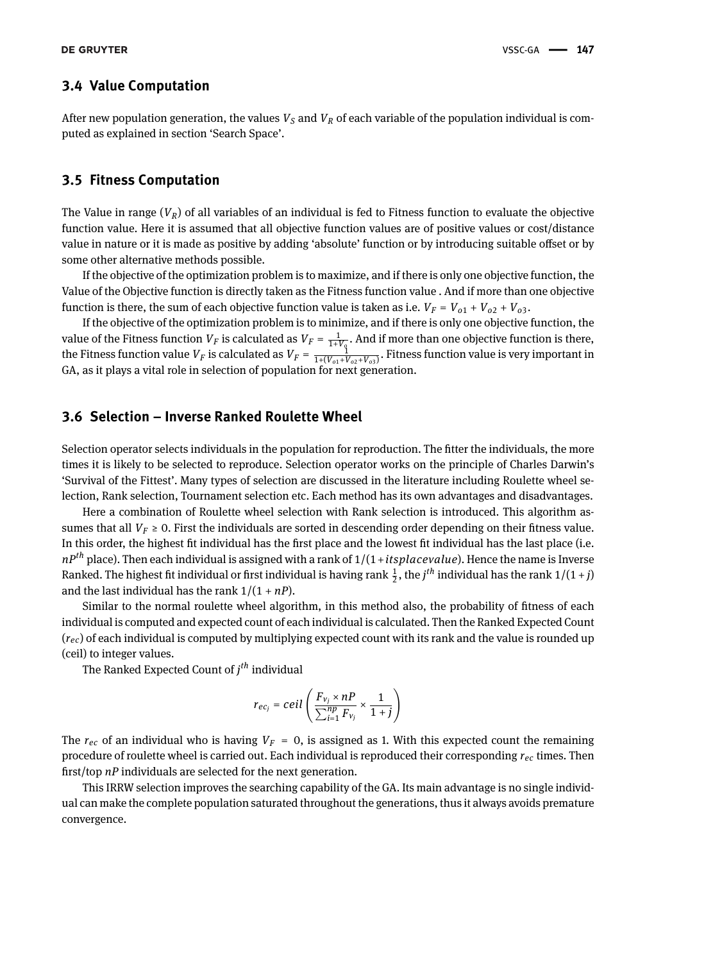#### **3.4 Value Computation**

After new population generation, the values *V<sup>S</sup>* and *V<sup>R</sup>* of each variable of the population individual is computed as explained in section 'Search Space'.

#### **3.5 Fitness Computation**

The Value in range  $(V_R)$  of all variables of an individual is fed to Fitness function to evaluate the objective function value. Here it is assumed that all objective function values are of positive values or cost/distance value in nature or it is made as positive by adding 'absolute' function or by introducing suitable offset or by some other alternative methods possible.

If the objective of the optimization problem is to maximize, and if there is only one objective function, the Value of the Objective function is directly taken as the Fitness function value . And if more than one objective function is there, the sum of each objective function value is taken as i.e.  $V_F = V_{01} + V_{02} + V_{03}$ .

If the objective of the optimization problem is to minimize, and if there is only one objective function, the value of the Fitness function  $V_F$  is calculated as  $V_F = \frac{1}{1+V_Q}$ . And if more than one objective function is there, the Fitness function value  $V_F$  is calculated as  $V_F = \frac{1}{1+(V_{o1}+V_{o2}+V_{o3})}$ . Fitness function value is very important in GA, as it plays a vital role in selection of population for next generation.

### **3.6 Selection – Inverse Ranked Roulette Wheel**

Selection operator selects individuals in the population for reproduction. The fitter the individuals, the more times it is likely to be selected to reproduce. Selection operator works on the principle of Charles Darwin's 'Survival of the Fittest'. Many types of selection are discussed in the literature including Roulette wheel selection, Rank selection, Tournament selection etc. Each method has its own advantages and disadvantages.

Here a combination of Roulette wheel selection with Rank selection is introduced. This algorithm assumes that all  $V_F \geq 0$ . First the individuals are sorted in descending order depending on their fitness value. In this order, the highest fit individual has the first place and the lowest fit individual has the last place (i.e. *nPth* place). Then each individual is assigned with a rank of 1/(1+*itsplacevalue*). Hence the name is Inverse Ranked. The highest fit individual or first individual is having rank  $\frac{1}{2}$ , the *j<sup>th</sup>* individual has the rank 1/(1 + *j*) and the last individual has the rank  $1/(1 + nP)$ .

Similar to the normal roulette wheel algorithm, in this method also, the probability of fitness of each individual is computed and expected count of each individual is calculated. Then the Ranked Expected Count (*rec*) of each individual is computed by multiplying expected count with its rank and the value is rounded up (ceil) to integer values.

The Ranked Expected Count of *j th* individual

$$
r_{ec_j} = ceil\left(\frac{F_{v_j} \times nP}{\sum_{i=1}^{np} F_{v_j}} \times \frac{1}{1+j}\right)
$$

The  $r_{ec}$  of an individual who is having  $V_F = 0$ , is assigned as 1. With this expected count the remaining procedure of roulette wheel is carried out. Each individual is reproduced their corresponding *rec* times. Then first/top *nP* individuals are selected for the next generation.

This IRRW selection improves the searching capability of the GA. Its main advantage is no single individual can make the complete population saturated throughout the generations, thus it always avoids premature convergence.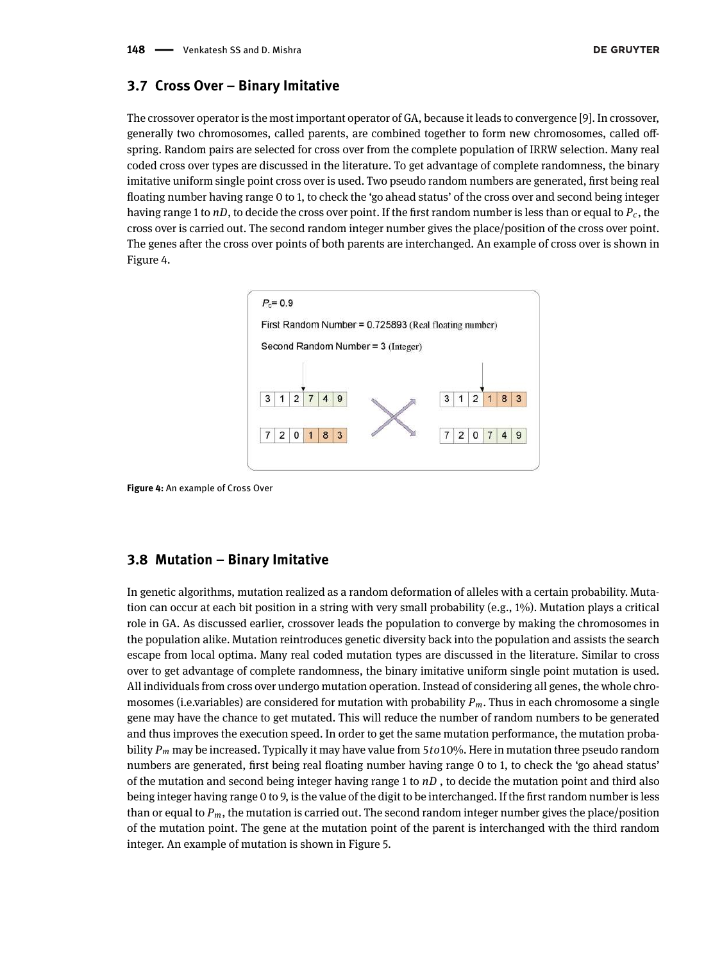#### **3.7 Cross Over – Binary Imitative**

The crossover operator is the most important operator of GA, because it leads to convergence [9]. In crossover, generally two chromosomes, called parents, are combined together to form new chromosomes, called offspring. Random pairs are selected for cross over from the complete population of IRRW selection. Many real coded cross over types are discussed in the literature. To get advantage of complete randomness, the binary imitative uniform single point cross over is used. Two pseudo random numbers are generated, first being real floating number having range 0 to 1, to check the 'go ahead status' of the cross over and second being integer having range 1 to *nD*, to decide the cross over point. If the first random number is less than or equal to *Pc*, the cross over is carried out. The second random integer number gives the place/position of the cross over point. The genes after the cross over points of both parents are interchanged. An example of cross over is shown in Figure 4.



**Figure 4:** An example of Cross Over

### **3.8 Mutation – Binary Imitative**

In genetic algorithms, mutation realized as a random deformation of alleles with a certain probability. Mutation can occur at each bit position in a string with very small probability (e.g., 1%). Mutation plays a critical role in GA. As discussed earlier, crossover leads the population to converge by making the chromosomes in the population alike. Mutation reintroduces genetic diversity back into the population and assists the search escape from local optima. Many real coded mutation types are discussed in the literature. Similar to cross over to get advantage of complete randomness, the binary imitative uniform single point mutation is used. All individuals from cross over undergo mutation operation. Instead of considering all genes, the whole chromosomes (i.e.variables) are considered for mutation with probability *Pm*. Thus in each chromosome a single gene may have the chance to get mutated. This will reduce the number of random numbers to be generated and thus improves the execution speed. In order to get the same mutation performance, the mutation probability *P<sup>m</sup>* may be increased. Typically it may have value from 5*to*10%. Here in mutation three pseudo random numbers are generated, first being real floating number having range 0 to 1, to check the 'go ahead status' of the mutation and second being integer having range 1 to *nD* , to decide the mutation point and third also being integer having range 0 to 9, is the value of the digit to be interchanged. If the first random number is less than or equal to *Pm*, the mutation is carried out. The second random integer number gives the place/position of the mutation point. The gene at the mutation point of the parent is interchanged with the third random integer. An example of mutation is shown in Figure 5.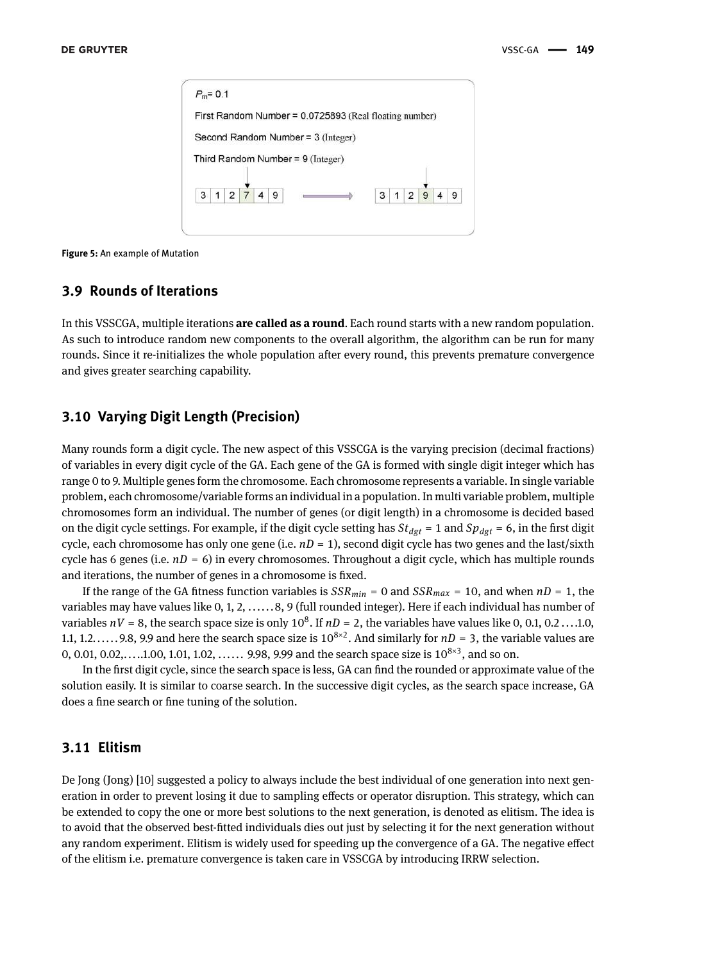|  |  |  | First Random Number = 0.0725893 (Real floating number) |  |  |  |  |
|--|--|--|--------------------------------------------------------|--|--|--|--|
|  |  |  | Second Random Number = 3 (Integer)                     |  |  |  |  |
|  |  |  |                                                        |  |  |  |  |
|  |  |  |                                                        |  |  |  |  |
|  |  |  | Third Random Number = 9 (Integer)                      |  |  |  |  |
|  |  |  |                                                        |  |  |  |  |

**Figure 5:** An example of Mutation

## **3.9 Rounds of Iterations**

In this VSSCGA, multiple iterations **are called as a round**. Each round starts with a new random population. As such to introduce random new components to the overall algorithm, the algorithm can be run for many rounds. Since it re-initializes the whole population after every round, this prevents premature convergence and gives greater searching capability.

### **3.10 Varying Digit Length (Precision)**

Many rounds form a digit cycle. The new aspect of this VSSCGA is the varying precision (decimal fractions) of variables in every digit cycle of the GA. Each gene of the GA is formed with single digit integer which has range 0 to 9. Multiple genes form the chromosome. Each chromosome represents a variable. In single variable problem, each chromosome/variable forms an individual in a population. In multi variable problem, multiple chromosomes form an individual. The number of genes (or digit length) in a chromosome is decided based on the digit cycle settings. For example, if the digit cycle setting has  $St_{dgt} = 1$  and  $Sp_{dgt} = 6$ , in the first digit cycle, each chromosome has only one gene (i.e. *nD* = 1), second digit cycle has two genes and the last/sixth cycle has 6 genes (i.e.  $nD = 6$ ) in every chromosomes. Throughout a digit cycle, which has multiple rounds and iterations, the number of genes in a chromosome is fixed.

If the range of the GA fitness function variables is  $SSR_{min} = 0$  and  $SSR_{max} = 10$ , and when  $nD = 1$ , the variables may have values like 0, 1, 2, ...... 8, 9 (full rounded integer). Here if each individual has number of variables  $nV = 8$ , the search space size is only  $10^8$ . If  $nD = 2$ , the variables have values like 0, 0.1, 0.2 ... .1.0, 1.1, 1.2...... 9.8, 9.9 and here the search space size is  $10^{8\times2}$ . And similarly for  $nD = 3$ , the variable values are 0, 0.01, 0.02,.....1.00, 1.01, 1.02, ...... 9.98, 9.99 and the search space size is  $10^{8\times3}$ , and so on.

In the first digit cycle, since the search space is less, GA can find the rounded or approximate value of the solution easily. It is similar to coarse search. In the successive digit cycles, as the search space increase, GA does a fine search or fine tuning of the solution.

#### **3.11 Elitism**

De Jong (Jong) [10] suggested a policy to always include the best individual of one generation into next generation in order to prevent losing it due to sampling effects or operator disruption. This strategy, which can be extended to copy the one or more best solutions to the next generation, is denoted as elitism. The idea is to avoid that the observed best-fitted individuals dies out just by selecting it for the next generation without any random experiment. Elitism is widely used for speeding up the convergence of a GA. The negative effect of the elitism i.e. premature convergence is taken care in VSSCGA by introducing IRRW selection.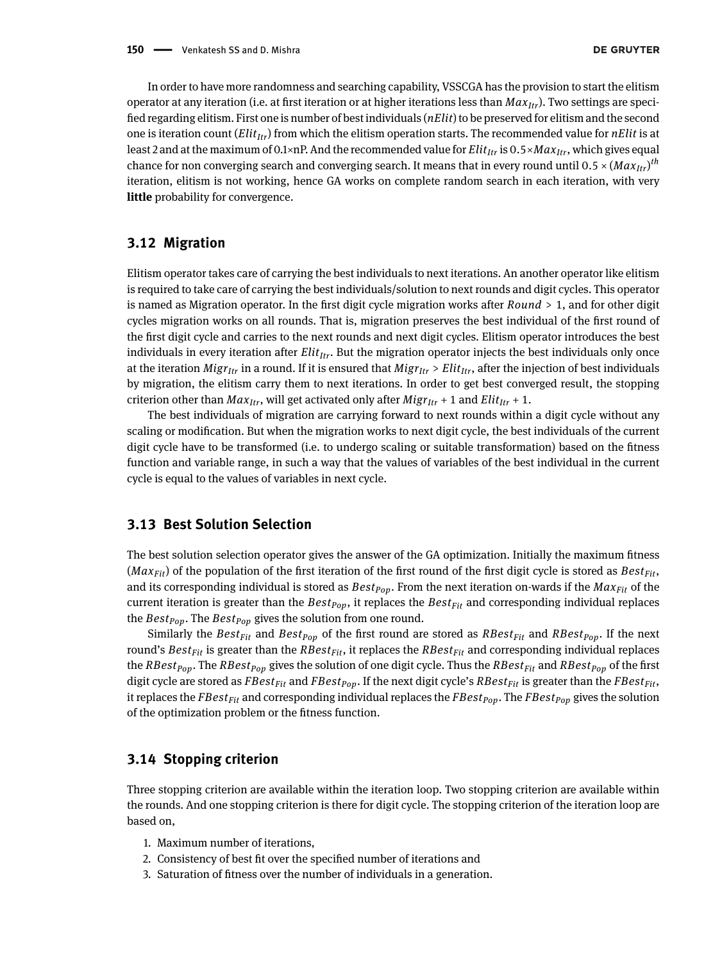In order to have more randomness and searching capability, VSSCGA has the provision to start the elitism operator at any iteration (i.e. at first iteration or at higher iterations less than *MaxItr*). Two settings are specified regarding elitism. First one is number of best individuals (*nElit*) to be preserved for elitism and the second one is iteration count (*ElitItr*) from which the elitism operation starts. The recommended value for *nElit* is at least 2 and at the maximum of 0.1×nP. And the recommended value for *ElitItr* is 0.5×*MaxItr*, which gives equal chance for non converging search and converging search. It means that in every round until 0.5 × (*MaxItr*) *th* iteration, elitism is not working, hence GA works on complete random search in each iteration, with very **little** probability for convergence.

#### **3.12 Migration**

Elitism operator takes care of carrying the best individuals to next iterations. An another operator like elitism is required to take care of carrying the best individuals/solution to next rounds and digit cycles. This operator is named as Migration operator. In the first digit cycle migration works after *Round* > 1, and for other digit cycles migration works on all rounds. That is, migration preserves the best individual of the first round of the first digit cycle and carries to the next rounds and next digit cycles. Elitism operator introduces the best individuals in every iteration after *ElitItr*. But the migration operator injects the best individuals only once at the iteration *MigrItr* in a round. If it is ensured that *MigrItr* > *ElitItr*, after the injection of best individuals by migration, the elitism carry them to next iterations. In order to get best converged result, the stopping criterion other than  $Max_{Itr}$ , will get activated only after  $Migr_{Itr} + 1$  and  $Elit_{Itr} + 1$ .

The best individuals of migration are carrying forward to next rounds within a digit cycle without any scaling or modification. But when the migration works to next digit cycle, the best individuals of the current digit cycle have to be transformed (i.e. to undergo scaling or suitable transformation) based on the fitness function and variable range, in such a way that the values of variables of the best individual in the current cycle is equal to the values of variables in next cycle.

### **3.13 Best Solution Selection**

The best solution selection operator gives the answer of the GA optimization. Initially the maximum fitness ( $Max<sub>Fit</sub>$ ) of the population of the first iteration of the first round of the first digit cycle is stored as  $Best<sub>Fit</sub>$ , and its corresponding individual is stored as *BestPop*. From the next iteration on-wards if the *MaxFit* of the current iteration is greater than the *BestPop*, it replaces the *BestFit* and corresponding individual replaces the *BestPop*. The *BestPop* gives the solution from one round.

Similarly the *BestFit* and *BestPop* of the first round are stored as *RBestFit* and *RBestPop*. If the next round's *BestFit* is greater than the *RBestFit*, it replaces the *RBestFit* and corresponding individual replaces the *RBestPop*. The *RBestPop* gives the solution of one digit cycle. Thus the *RBestFit* and *RBestPop* of the first digit cycle are stored as *FBestFit* and *FBestPop*. If the next digit cycle's *RBestFit* is greater than the *FBestFit*, it replaces the *FBestFit* and corresponding individual replaces the *FBestPop*. The *FBestPop* gives the solution of the optimization problem or the fitness function.

### **3.14 Stopping criterion**

Three stopping criterion are available within the iteration loop. Two stopping criterion are available within the rounds. And one stopping criterion is there for digit cycle. The stopping criterion of the iteration loop are based on,

- 1. Maximum number of iterations,
- 2. Consistency of best fit over the specified number of iterations and
- 3. Saturation of fitness over the number of individuals in a generation.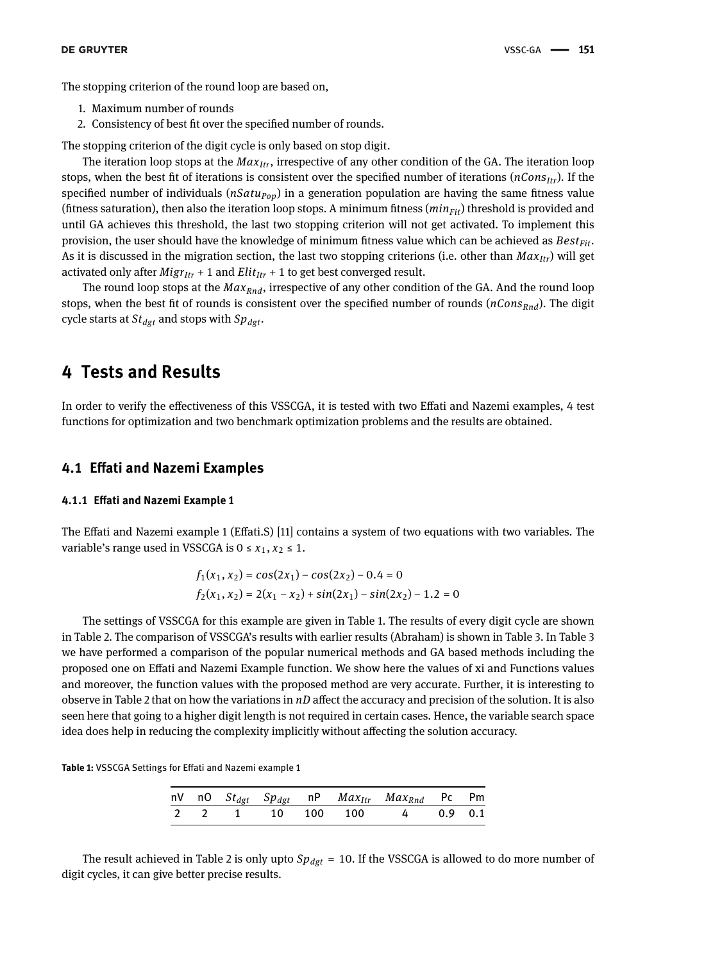The stopping criterion of the round loop are based on,

- 1. Maximum number of rounds
- 2. Consistency of best fit over the specified number of rounds.

The stopping criterion of the digit cycle is only based on stop digit.

The iteration loop stops at the *MaxItr*, irrespective of any other condition of the GA. The iteration loop stops, when the best fit of iterations is consistent over the specified number of iterations (*nConsItr*). If the specified number of individuals (*nSatuPop*) in a generation population are having the same fitness value (fitness saturation), then also the iteration loop stops. A minimum fitness (*minFit*) threshold is provided and until GA achieves this threshold, the last two stopping criterion will not get activated. To implement this provision, the user should have the knowledge of minimum fitness value which can be achieved as *BestFit*. As it is discussed in the migration section, the last two stopping criterions (i.e. other than *MaxItr*) will get activated only after  $Migr_{Itr} + 1$  and  $Elit_{Itr} + 1$  to get best converged result.

The round loop stops at the *MaxRnd*, irrespective of any other condition of the GA. And the round loop stops, when the best fit of rounds is consistent over the specified number of rounds (*nConsRnd*). The digit cycle starts at *Stdgt* and stops with *Spdgt*.

# **4 Tests and Results**

In order to verify the effectiveness of this VSSCGA, it is tested with two Effati and Nazemi examples, 4 test functions for optimization and two benchmark optimization problems and the results are obtained.

#### **4.1 Effati and Nazemi Examples**

#### **4.1.1 Effati and Nazemi Example 1**

The Effati and Nazemi example 1 (Effati.S) [11] contains a system of two equations with two variables. The variable's range used in VSSCGA is  $0 \le x_1, x_2 \le 1$ .

$$
f_1(x_1, x_2) = \cos(2x_1) - \cos(2x_2) - 0.4 = 0
$$
  

$$
f_2(x_1, x_2) = 2(x_1 - x_2) + \sin(2x_1) - \sin(2x_2) - 1.2 = 0
$$

The settings of VSSCGA for this example are given in Table 1. The results of every digit cycle are shown in Table 2. The comparison of VSSCGA's results with earlier results (Abraham) is shown in Table 3. In Table 3 we have performed a comparison of the popular numerical methods and GA based methods including the proposed one on Effati and Nazemi Example function. We show here the values of xi and Functions values and moreover, the function values with the proposed method are very accurate. Further, it is interesting to observe in Table 2 that on how the variations in *nD* affect the accuracy and precision of the solution. It is also seen here that going to a higher digit length is not required in certain cases. Hence, the variable search space idea does help in reducing the complexity implicitly without affecting the solution accuracy.

**Table 1:** VSSCGA Settings for Effati and Nazemi example 1

|  |  |  | nV nO $St_{dgt}$ $Sp_{dgt}$ nP $Max_{Itr}$ $Max_{Rnd}$ Pc Pm |  |
|--|--|--|--------------------------------------------------------------|--|
|  |  |  | 2 2 1 10 100 100 4 0.9 0.1                                   |  |

The result achieved in Table 2 is only upto *Spdgt* = 10. If the VSSCGA is allowed to do more number of digit cycles, it can give better precise results.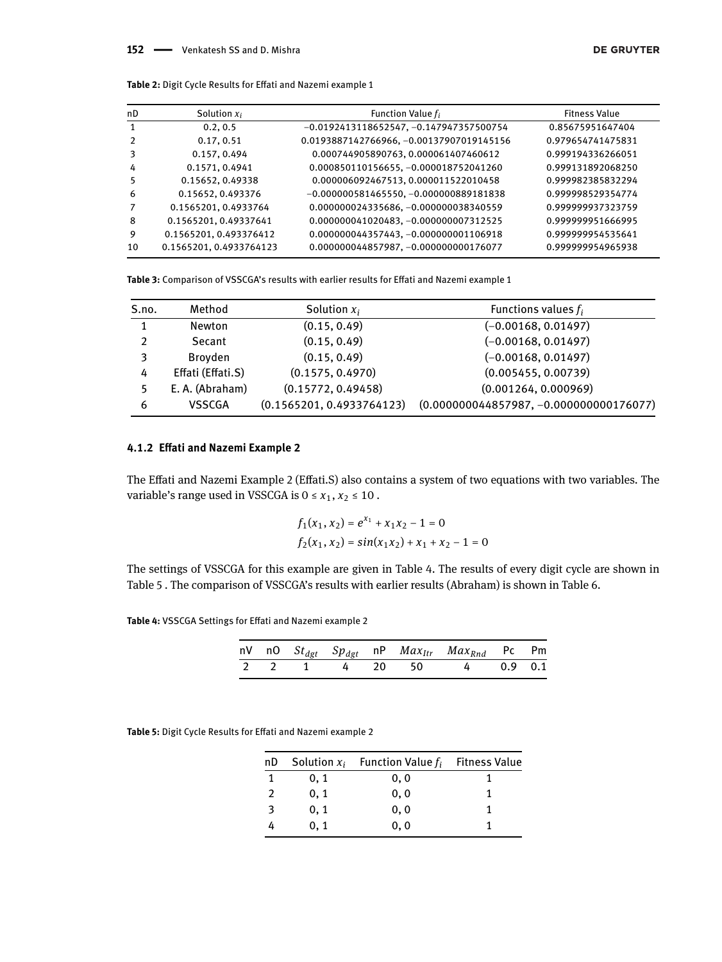| nD | Solution $x_i$          | Function Value $f_i$                      | <b>Fitness Value</b> |
|----|-------------------------|-------------------------------------------|----------------------|
| 1  | 0.2.0.5                 | $-0.0192413118652547, -0.147947357500754$ | 0.85675951647404     |
|    | 0.17, 0.51              | 0.0193887142766966, -0.00137907019145156  | 0.979654741475831    |
|    | 0.157, 0.494            | 0.000744905890763, 0.000061407460612      | 0.999194336266051    |
| 4  | 0.1571, 0.4941          | 0.000850110156655, -0.000018752041260     | 0.999131892068250    |
|    | 0.15652, 0.49338        | 0.000006092467513, 0.000011522010458      | 0.999982385832294    |
| 6  | 0.15652, 0.493376       | $-0.000000581465550, -0.000000889181838$  | 0.999998529354774    |
|    | 0.1565201, 0.4933764    | 0.000000024335686, -0.000000038340559     | 0.999999937323759    |
| 8  | 0.1565201, 0.49337641   | 0.000000041020483, -0.000000007312525     | 0.999999951666995    |
| 9  | 0.1565201, 0.493376412  | 0.000000044357443, -0.000000001106918     | 0.999999954535641    |
| 10 | 0.1565201, 0.4933764123 | 0.000000044857987, -0.000000000176077     | 0.999999954965938    |

**Table 2:** Digit Cycle Results for Effati and Nazemi example 1

**Table 3:** Comparison of VSSCGA's results with earlier results for Effati and Nazemi example 1

| S.no. | Method            | Solution $x_i$            | Functions values $f_i$                    |
|-------|-------------------|---------------------------|-------------------------------------------|
| 1     | <b>Newton</b>     | (0.15, 0.49)              | $(-0.00168, 0.01497)$                     |
| າ     | Secant            | (0.15, 0.49)              | $(-0.00168, 0.01497)$                     |
| 3     | Broyden           | (0.15, 0.49)              | $(-0.00168, 0.01497)$                     |
| 4     | Effati (Effati.S) | (0.1575, 0.4970)          | (0.005455, 0.00739)                       |
|       | E. A. (Abraham)   | (0.15772, 0.49458)        | (0.001264, 0.000969)                      |
| 6     | <b>VSSCGA</b>     | (0.1565201, 0.4933764123) | $(0.000000044857987, -0.000000000176077)$ |

#### **4.1.2 Effati and Nazemi Example 2**

The Effati and Nazemi Example 2 (Effati.S) also contains a system of two equations with two variables. The variable's range used in VSSCGA is  $0 \le x_1, x_2 \le 10$ .

$$
f_1(x_1, x_2) = e^{x_1} + x_1 x_2 - 1 = 0
$$
  

$$
f_2(x_1, x_2) = \sin(x_1 x_2) + x_1 + x_2 - 1 = 0
$$

The settings of VSSCGA for this example are given in Table 4. The results of every digit cycle are shown in Table 5 . The comparison of VSSCGA's results with earlier results (Abraham) is shown in Table 6.

**Table 4:** VSSCGA Settings for Effati and Nazemi example 2

|  |  |  | nV nO $St_{dgt}$ $Sp_{dgt}$ nP $Max_{Itr}$ $Max_{Rnd}$ Pc Pm |  |
|--|--|--|--------------------------------------------------------------|--|
|  |  |  | 2 2 1 4 20 50 4 0.9 0.1                                      |  |

**Table 5:** Digit Cycle Results for Effati and Nazemi example 2

| пD |      | Solution $x_i$ Function Value $f_i$ Fitness Value |  |
|----|------|---------------------------------------------------|--|
|    | 0, 1 | 0, 0                                              |  |
|    | 0, 1 | 0, 0                                              |  |
| 3  | 0, 1 | 0, 0                                              |  |
|    | 0.1  | 0.0                                               |  |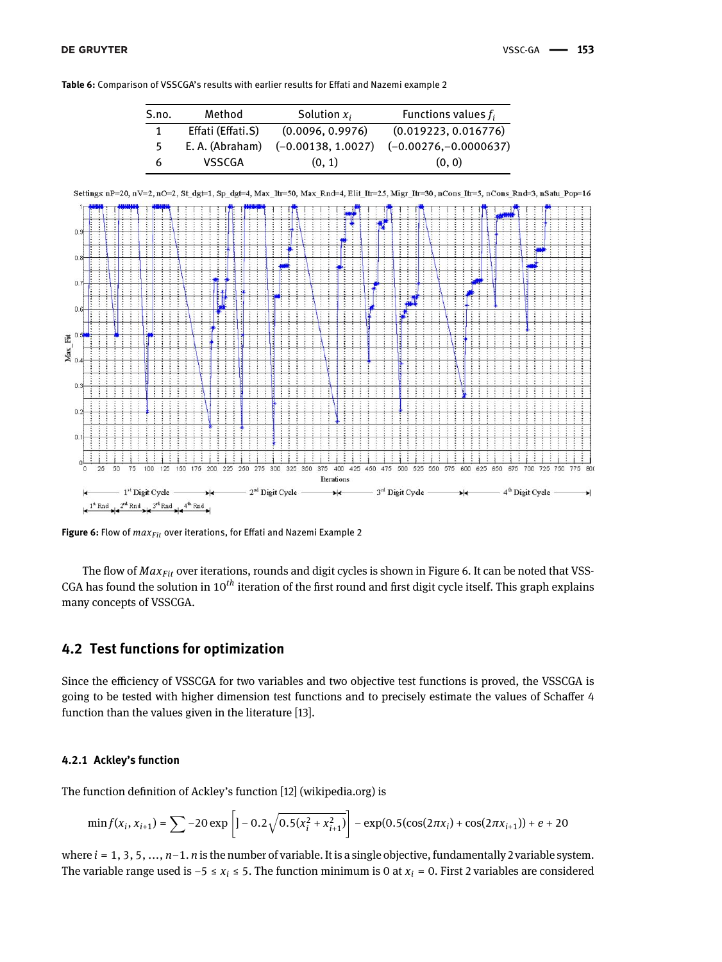**Table 6:** Comparison of VSSCGA's results with earlier results for Effati and Nazemi example 2

| S.no. | Method            | Solution $x_i$       | Functions values $f_i$  |
|-------|-------------------|----------------------|-------------------------|
|       | Effati (Effati.S) | (0.0096, 0.9976)     | (0.019223, 0.016776)    |
|       | E. A. (Abraham)   | $(-0.00138, 1.0027)$ | $(-0.00276,-0.0000637)$ |
| 6     | VSSCGA            | (0, 1)               | (0, 0)                  |

Settings nP=20, nV=2, nO=2, St\_dg=1, Sp\_dgt=4, Max\_Itr=50, Max\_Rnd=4, Elit\_Itr=25, Migr\_Itr=30, nCons\_Itr=5, nCons\_Rnd=3, nSatu\_Pop=16



**Figure 6:** Flow of *maxFit* over iterations, for Effati and Nazemi Example 2

The flow of *MaxFit* over iterations, rounds and digit cycles is shown in Figure 6. It can be noted that VSS-CGA has found the solution in 10*th* iteration of the first round and first digit cycle itself. This graph explains many concepts of VSSCGA.

### **4.2 Test functions for optimization**

Since the efficiency of VSSCGA for two variables and two objective test functions is proved, the VSSCGA is going to be tested with higher dimension test functions and to precisely estimate the values of Schaffer 4 function than the values given in the literature [13].

#### **4.2.1 Ackley's function**

The function definition of Ackley's function [12] (wikipedia.org) is

$$
\min f(x_i, x_{i+1}) = \sum -20 \exp \left[1 - 0.2\sqrt{0.5(x_i^2 + x_{i+1}^2)}\right] - \exp(0.5(\cos(2\pi x_i) + \cos(2\pi x_{i+1})) + e + 20
$$

where *i* = 1, 3, 5, ..., *n*−1. *n* is the number of variable. It is a single objective, fundamentally 2 variable system. The variable range used is −5 ≤ *x<sup>i</sup>* ≤ 5. The function minimum is 0 at *x<sup>i</sup>* = 0. First 2 variables are considered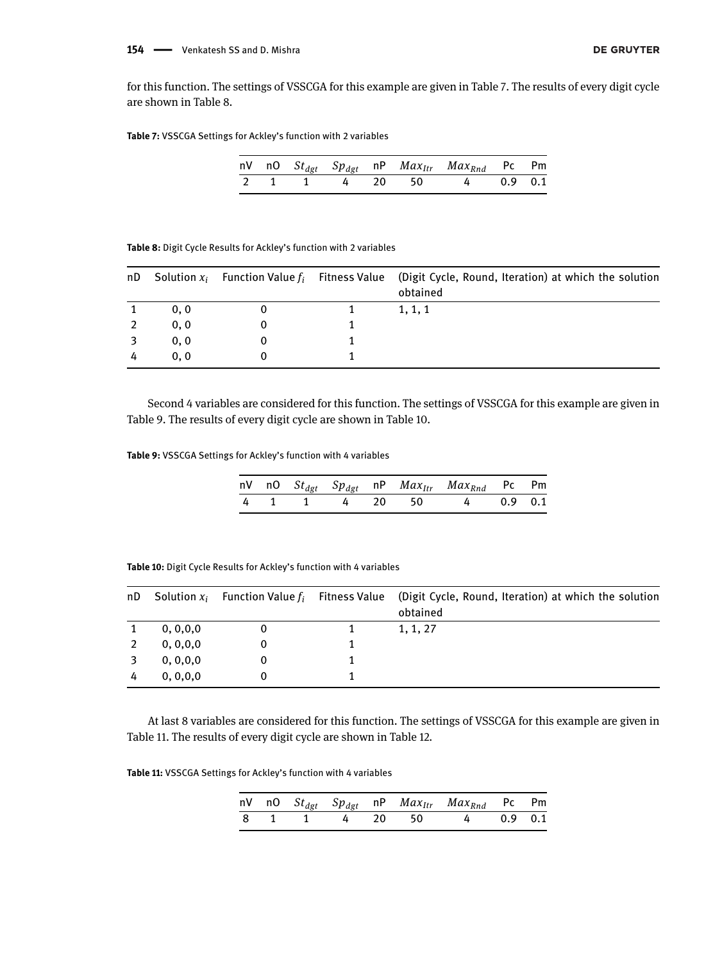for this function. The settings of VSSCGA for this example are given in Table 7. The results of every digit cycle are shown in Table 8.

**Table 7:** VSSCGA Settings for Ackley's function with 2 variables

|  |  |  | nV nO $St_{dgt}$ Sp <sub>dgt</sub> nP $Max_{Itr}$ Max <sub>Rnd</sub> Pc Pm |  |
|--|--|--|----------------------------------------------------------------------------|--|
|  |  |  | 2 1 1 4 20 50 4 0.9 0.1                                                    |  |

| Table 8: Digit Cycle Results for Ackley's function with 2 variables |  |
|---------------------------------------------------------------------|--|
|---------------------------------------------------------------------|--|

| nD |      |  | Solution $x_i$ Function Value $f_i$ Fitness Value (Digit Cycle, Round, Iteration) at which the solution<br>obtained |
|----|------|--|---------------------------------------------------------------------------------------------------------------------|
|    | 0, 0 |  | 1, 1, 1                                                                                                             |
|    | 0, 0 |  |                                                                                                                     |
|    | 0, 0 |  |                                                                                                                     |
|    | 0, 0 |  |                                                                                                                     |

Second 4 variables are considered for this function. The settings of VSSCGA for this example are given in Table 9. The results of every digit cycle are shown in Table 10.

**Table 9:** VSSCGA Settings for Ackley's function with 4 variables

|  |  |  | nV nO St <sub>dgt</sub> Sp <sub>dgt</sub> nP Max <sub>Itr</sub> Max <sub>Rnd</sub> Pc Pm |  |
|--|--|--|------------------------------------------------------------------------------------------|--|
|  |  |  | 4 1 1 4 20 50 4 0.9 0.1                                                                  |  |

**Table 10:** Digit Cycle Results for Ackley's function with 4 variables

| nD |            |  | Solution $x_i$ Function Value $f_i$ Fitness Value (Digit Cycle, Round, Iteration) at which the solution<br>obtained |
|----|------------|--|---------------------------------------------------------------------------------------------------------------------|
|    | 0, 0, 0, 0 |  | 1, 1, 27                                                                                                            |
|    | 0, 0, 0, 0 |  |                                                                                                                     |
|    | 0, 0, 0, 0 |  |                                                                                                                     |
|    | 0, 0, 0, 0 |  |                                                                                                                     |

At last 8 variables are considered for this function. The settings of VSSCGA for this example are given in Table 11. The results of every digit cycle are shown in Table 12.

**Table 11:** VSSCGA Settings for Ackley's function with 4 variables

|  |  |  | nV nO $St_{dgt}$ $Sp_{dgt}$ nP $Max_{Itr}$ $Max_{Rnd}$ Pc Pm |  |
|--|--|--|--------------------------------------------------------------|--|
|  |  |  | 8 1 1 4 20 50 4 0.9 0.1                                      |  |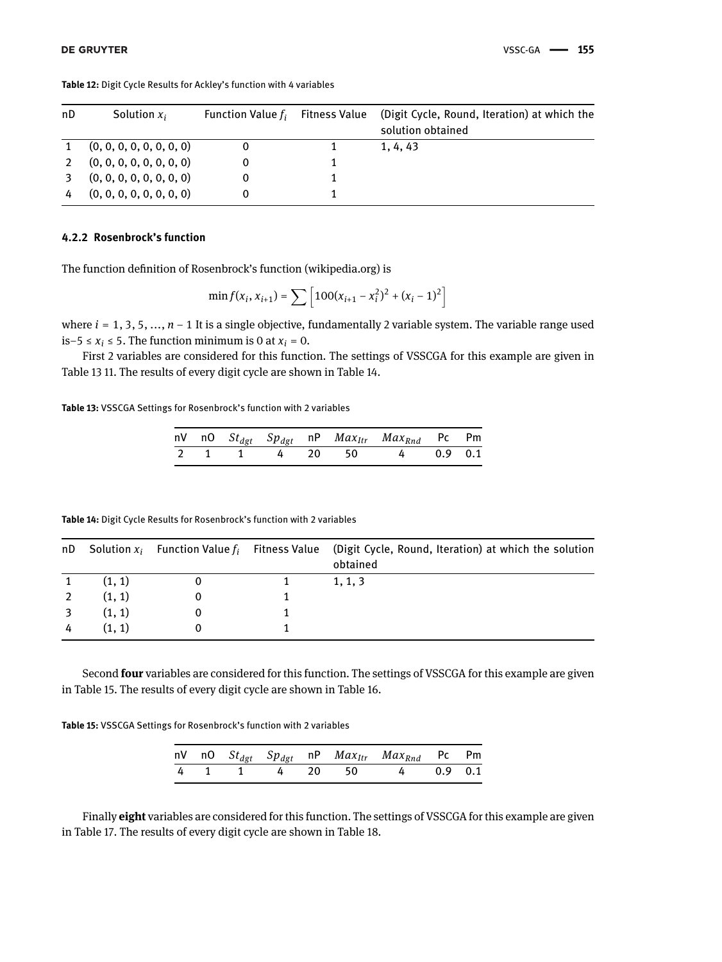| nD | Solution $x_i$           | Function Value $f_i$ | Fitness Value | (Digit Cycle, Round, Iteration) at which the |
|----|--------------------------|----------------------|---------------|----------------------------------------------|
|    |                          |                      |               | solution obtained                            |
|    | (0, 0, 0, 0, 0, 0, 0, 0) |                      |               | 1, 4, 43                                     |
|    | (0, 0, 0, 0, 0, 0, 0, 0) |                      |               |                                              |
|    | (0, 0, 0, 0, 0, 0, 0, 0) |                      |               |                                              |
|    | (0, 0, 0, 0, 0, 0, 0, 0) |                      |               |                                              |

**Table 12:** Digit Cycle Results for Ackley's function with 4 variables

#### **4.2.2 Rosenbrock's function**

The function definition of Rosenbrock's function (wikipedia.org) is

$$
\min f(x_i, x_{i+1}) = \sum \left[ 100(x_{i+1} - x_i^2)^2 + (x_i - 1)^2 \right]
$$

where *i* = 1, 3, 5, ..., *n* − 1 It is a single objective, fundamentally 2 variable system. The variable range used is−5 ≤  $x_i$  ≤ 5. The function minimum is 0 at  $x_i$  = 0.

First 2 variables are considered for this function. The settings of VSSCGA for this example are given in Table 13 11. The results of every digit cycle are shown in Table 14.

**Table 13:** VSSCGA Settings for Rosenbrock's function with 2 variables

|  |  |  | nV nO $St_{dgt}$ $Sp_{dgt}$ nP $Max_{Itr}$ $Max_{Rnd}$ Pc Pm |  |
|--|--|--|--------------------------------------------------------------|--|
|  |  |  | 2 1 1 4 20 50 4 0.9 0.1                                      |  |

| <b>Table 14:</b> Digit Cycle Results for Rosenbrock's function with 2 variables |  |  |  |
|---------------------------------------------------------------------------------|--|--|--|
|---------------------------------------------------------------------------------|--|--|--|

|        |  | nD Solution $x_i$ Function Value $f_i$ Fitness Value (Digit Cycle, Round, Iteration) at which the solution<br>obtained |
|--------|--|------------------------------------------------------------------------------------------------------------------------|
| (1, 1) |  | 1, 1, 3                                                                                                                |
| (1, 1) |  |                                                                                                                        |
| (1, 1) |  |                                                                                                                        |
| (1, 1) |  |                                                                                                                        |

Second **four** variables are considered for this function. The settings of VSSCGA for this example are given in Table 15. The results of every digit cycle are shown in Table 16.

**Table 15:** VSSCGA Settings for Rosenbrock's function with 2 variables

|  |  |  | nV nO $St_{dgt}$ $Sp_{dgt}$ nP $Max_{Itr}$ $Max_{Rnd}$ Pc Pm |  |
|--|--|--|--------------------------------------------------------------|--|
|  |  |  | 4 1 1 4 20 50 4 0.9 0.1                                      |  |

Finally **eight** variables are considered for this function. The settings of VSSCGA for this example are given in Table 17. The results of every digit cycle are shown in Table 18.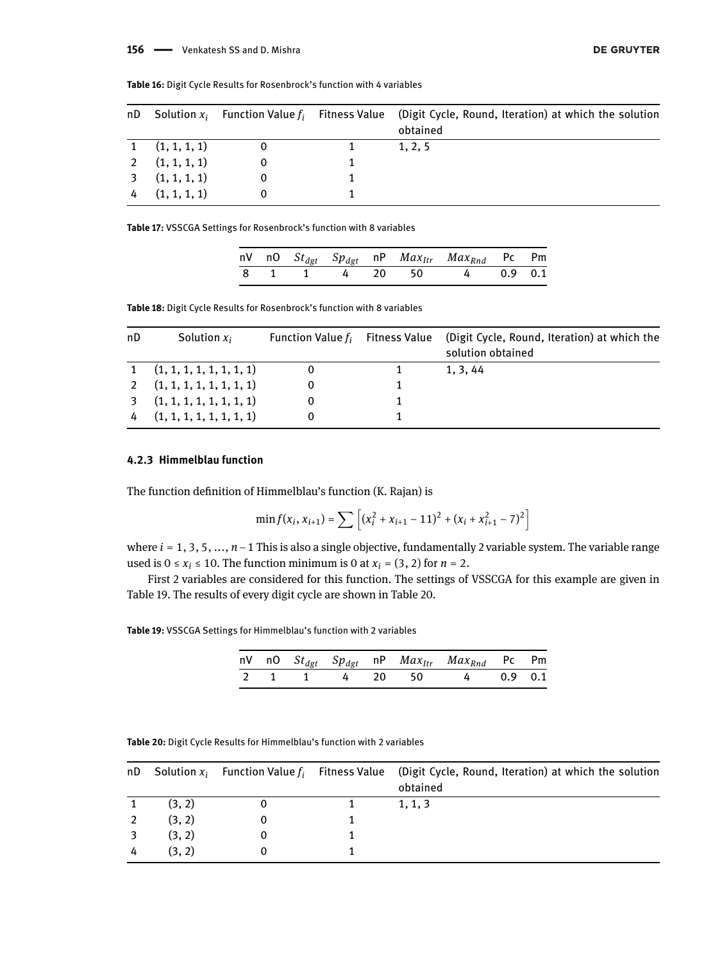#### 156 - Venkatesh SS and D. Mishra

| nD |                    |  | Solution $x_i$ Function Value $f_i$ Fitness Value (Digit Cycle, Round, Iteration) at which the solution<br>obtained |
|----|--------------------|--|---------------------------------------------------------------------------------------------------------------------|
|    | $1$ $(1, 1, 1, 1)$ |  | 1, 2, 5                                                                                                             |
|    | 2(1, 1, 1, 1)      |  |                                                                                                                     |
|    | 3(1, 1, 1, 1)      |  |                                                                                                                     |
| 4  | (1, 1, 1, 1)       |  |                                                                                                                     |

**Table 16:** Digit Cycle Results for Rosenbrock's function with 4 variables

**Table 17:** VSSCGA Settings for Rosenbrock's function with 8 variables

|  |  |  | nV nO $St_{dgt}$ $Sp_{dgt}$ nP $Max_{Itr}$ $Max_{Rnd}$ Pc Pm |  |
|--|--|--|--------------------------------------------------------------|--|
|  |  |  | 8 1 1 4 20 50 4 0.9 0.1                                      |  |

**Table 18:** Digit Cycle Results for Rosenbrock's function with 8 variables

| nD | Solution $x_i$                 | Function Value $f_i$ Fitness Value | (Digit Cycle, Round, Iteration) at which the<br>solution obtained |
|----|--------------------------------|------------------------------------|-------------------------------------------------------------------|
|    | $1$ $(1, 1, 1, 1, 1, 1, 1, 1)$ |                                    | 1, 3, 44                                                          |
|    | $2$ $(1, 1, 1, 1, 1, 1, 1, 1)$ |                                    |                                                                   |
|    | $3$ $(1, 1, 1, 1, 1, 1, 1, 1)$ |                                    |                                                                   |
|    | (1, 1, 1, 1, 1, 1, 1, 1)       |                                    |                                                                   |

#### **4.2.3 Himmelblau function**

The function definition of Himmelblau's function (K. Rajan) is

$$
\min f(x_i, x_{i+1}) = \sum \left[ (x_i^2 + x_{i+1} - 11)^2 + (x_i + x_{i+1}^2 - 7)^2 \right]
$$

where *i* = 1, 3, 5, ..., *n* −1 This is also a single objective, fundamentally 2 variable system. The variable range used is  $0 \le x_i \le 10$ . The function minimum is 0 at  $x_i = (3, 2)$  for  $n = 2$ .

First 2 variables are considered for this function. The settings of VSSCGA for this example are given in Table 19. The results of every digit cycle are shown in Table 20.

**Table 19:** VSSCGA Settings for Himmelblau's function with 2 variables

|  |  |  | nV nO St <sub>dgt</sub> Sp <sub>dgt</sub> nP Max <sub>Itr</sub> Max <sub>Rnd</sub> Pc Pm |  |
|--|--|--|------------------------------------------------------------------------------------------|--|
|  |  |  | 2 1 1 4 20 50 4 0.9 0.1                                                                  |  |

| nD. |        |  | Solution $x_i$ Function Value $f_i$ Fitness Value (Digit Cycle, Round, Iteration) at which the solution<br>obtained |
|-----|--------|--|---------------------------------------------------------------------------------------------------------------------|
|     | (3, 2) |  | 1, 1, 3                                                                                                             |
|     | (3, 2) |  |                                                                                                                     |
|     | (3, 2) |  |                                                                                                                     |
|     | (3, 2) |  |                                                                                                                     |

**Table 20:** Digit Cycle Results for Himmelblau's function with 2 variables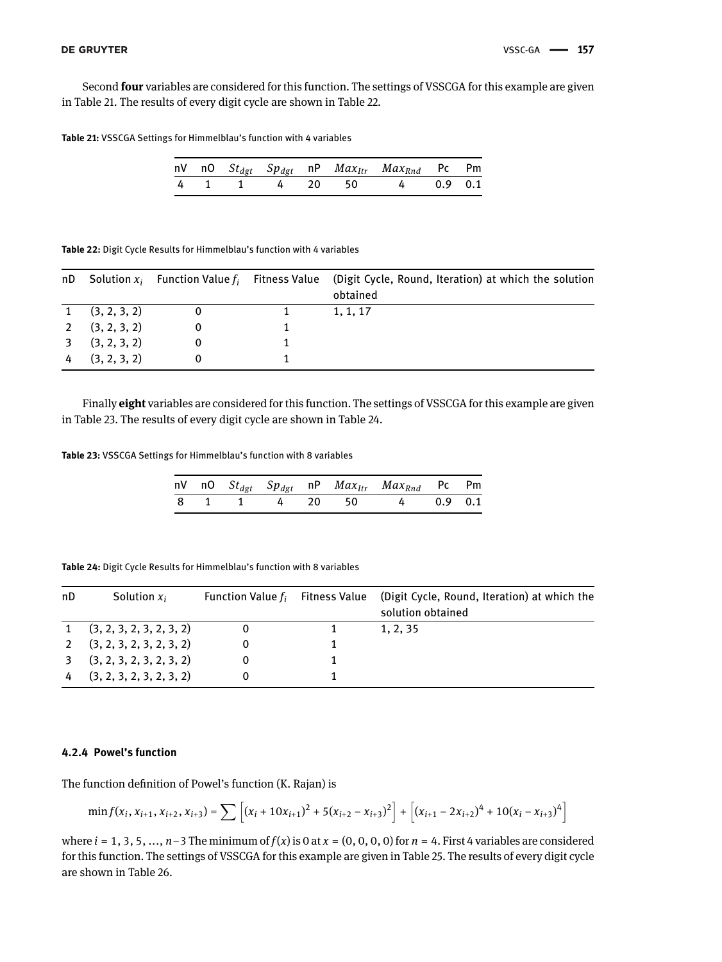Second **four** variables are considered for this function. The settings of VSSCGA for this example are given in Table 21. The results of every digit cycle are shown in Table 22.

**Table 21:** VSSCGA Settings for Himmelblau's function with 4 variables

|  |  |  | nV nO $St_{dgt}$ $Sp_{dgt}$ nP $Max_{Itr}$ $Max_{Rnd}$ Pc Pm |  |
|--|--|--|--------------------------------------------------------------|--|
|  |  |  | 4 1 1 4 20 50 4 0.9 0.1                                      |  |

**Table 22:** Digit Cycle Results for Himmelblau's function with 4 variables

| nD. |                  |  | Solution $x_i$ Function Value $f_i$ Fitness Value (Digit Cycle, Round, Iteration) at which the solution<br>obtained |
|-----|------------------|--|---------------------------------------------------------------------------------------------------------------------|
|     | $1$ (3, 2, 3, 2) |  | 1, 1, 17                                                                                                            |
|     | 2(3, 2, 3, 2)    |  |                                                                                                                     |
|     | 3(3, 2, 3, 2)    |  |                                                                                                                     |
|     | (3, 2, 3, 2)     |  |                                                                                                                     |

Finally **eight** variables are considered for this function. The settings of VSSCGA for this example are given in Table 23. The results of every digit cycle are shown in Table 24.

**Table 23:** VSSCGA Settings for Himmelblau's function with 8 variables

|  |  |  | nV nO $St_{dgt}$ $Sp_{dgt}$ nP $Max_{Itr}$ $Max_{Rnd}$ Pc Pm |  |
|--|--|--|--------------------------------------------------------------|--|
|  |  |  | 8 1 1 4 20 50 4 0.9 0.1                                      |  |

| nD | Solution $x_i$                 | Function Value $f_i$ Fitness Value | (Digit Cycle, Round, Iteration) at which the<br>solution obtained |
|----|--------------------------------|------------------------------------|-------------------------------------------------------------------|
|    | $1$ $(3, 2, 3, 2, 3, 2, 3, 2)$ |                                    | 1, 2, 35                                                          |
|    | (3, 2, 3, 2, 3, 2, 3, 2)       |                                    |                                                                   |
|    | (3, 2, 3, 2, 3, 2, 3, 2)       |                                    |                                                                   |
|    | $4$ (3, 2, 3, 2, 3, 2, 3, 2)   |                                    |                                                                   |

**Table 24:** Digit Cycle Results for Himmelblau's function with 8 variables

#### **4.2.4 Powel's function**

The function definition of Powel's function (K. Rajan) is

$$
\min f(x_i, x_{i+1}, x_{i+2}, x_{i+3}) = \sum \left[ (x_i + 10x_{i+1})^2 + 5(x_{i+2} - x_{i+3})^2 \right] + \left[ (x_{i+1} - 2x_{i+2})^4 + 10(x_i - x_{i+3})^4 \right]
$$

where  $i = 1, 3, 5, \ldots, n-3$  The minimum of  $f(x)$  is 0 at  $x = (0, 0, 0, 0)$  for  $n = 4$ . First 4 variables are considered for this function. The settings of VSSCGA for this example are given in Table 25. The results of every digit cycle are shown in Table 26.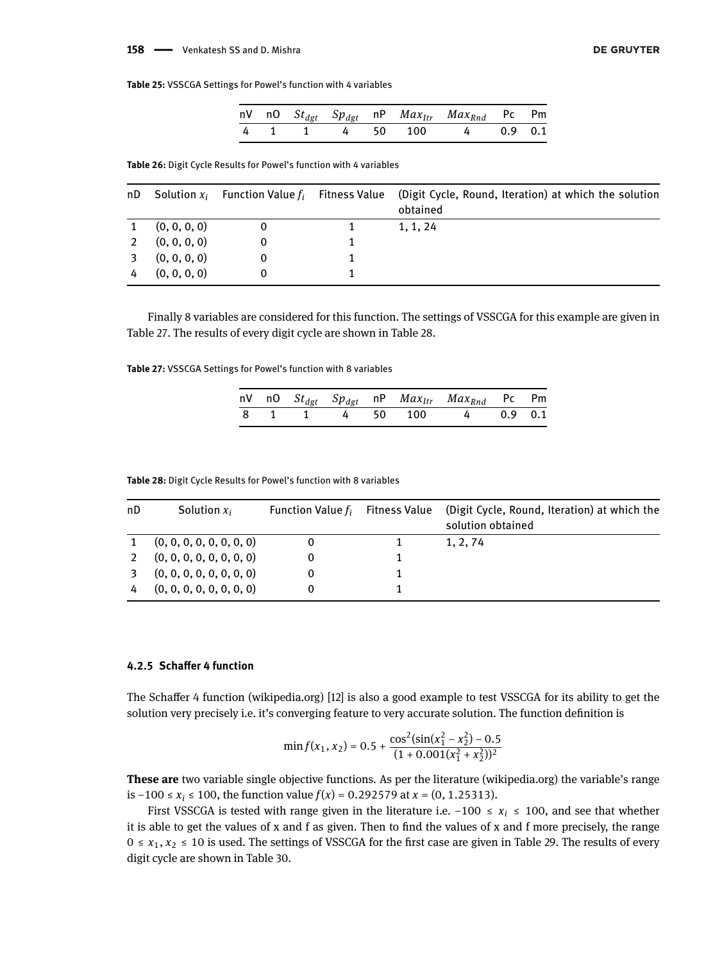#### 158 - Venkatesh SS and D. Mishra

**Table 25:** VSSCGA Settings for Powel's function with 4 variables

|  |  |  | nV nO $St_{dgt}$ $Sp_{dgt}$ nP $Max_{Itr}$ $Max_{Rnd}$ Pc Pm |  |
|--|--|--|--------------------------------------------------------------|--|
|  |  |  | 4 1 1 4 50 100 4 0.9 0.1                                     |  |

**Table 26:** Digit Cycle Results for Powel's function with 4 variables

| nD |              |  | Solution $x_i$ Function Value $f_i$ Fitness Value (Digit Cycle, Round, Iteration) at which the solution<br>obtained |
|----|--------------|--|---------------------------------------------------------------------------------------------------------------------|
|    | (0, 0, 0, 0) |  | 1, 1, 24                                                                                                            |
|    | (0, 0, 0, 0) |  |                                                                                                                     |
|    | (0, 0, 0, 0) |  |                                                                                                                     |
|    | (0, 0, 0, 0) |  |                                                                                                                     |

Finally 8 variables are considered for this function. The settings of VSSCGA for this example are given in Table 27. The results of every digit cycle are shown in Table 28.

**Table 27:** VSSCGA Settings for Powel's function with 8 variables

|  |  |  | nV nO $St_{dgt}$ $Sp_{dgt}$ nP $Max_{Itr}$ $Max_{Rnd}$ Pc Pm |  |
|--|--|--|--------------------------------------------------------------|--|
|  |  |  | 8 1 1 4 50 100 4 0.9 0.1                                     |  |

**Table 28:** Digit Cycle Results for Powel's function with 8 variables

| nD | Solution $x_i$           | Function Value $f_i$ Fitness Value | (Digit Cycle, Round, Iteration) at which the<br>solution obtained |
|----|--------------------------|------------------------------------|-------------------------------------------------------------------|
|    | (0, 0, 0, 0, 0, 0, 0, 0) |                                    | 1, 2, 74                                                          |
|    | (0, 0, 0, 0, 0, 0, 0, 0) |                                    |                                                                   |
|    | (0, 0, 0, 0, 0, 0, 0, 0) |                                    |                                                                   |
|    | (0, 0, 0, 0, 0, 0, 0, 0) |                                    |                                                                   |

#### **4.2.5 Schaffer 4 function**

The Schaffer 4 function (wikipedia.org) [12] is also a good example to test VSSCGA for its ability to get the solution very precisely i.e. it's converging feature to very accurate solution. The function definition is

$$
\min f(x_1, x_2) = 0.5 + \frac{\cos^2(\sin(x_1^2 - x_2^2) - 0.5)}{(1 + 0.001(x_1^2 + x_2^2))^2}
$$

**These are** two variable single objective functions. As per the literature (wikipedia.org) the variable's range is −100 ≤ *x<sup>i</sup>* ≤ 100, the function value *f*(*x*) = 0.292579 at *x* = (0, 1.25313).

First VSSCGA is tested with range given in the literature i.e.  $-100 \le x_i \le 100$ , and see that whether it is able to get the values of x and f as given. Then to find the values of x and f more precisely, the range  $0 \le x_1, x_2 \le 10$  is used. The settings of VSSCGA for the first case are given in Table 29. The results of every digit cycle are shown in Table 30.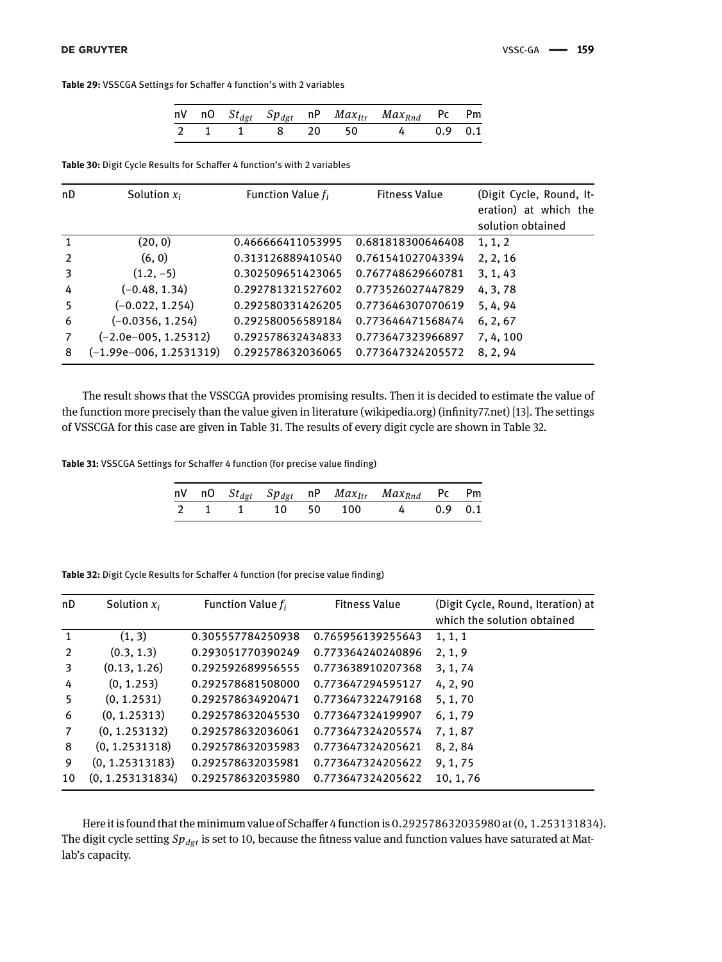|  |  |  | nV nO $St_{dgt}$ $Sp_{dgt}$ nP $Max_{Itr}$ $Max_{Rnd}$ Pc Pm |  |
|--|--|--|--------------------------------------------------------------|--|
|  |  |  | 2 1 1 8 20 50 4 0.9 0.1                                      |  |

**Table 30:** Digit Cycle Results for Schaffer 4 function's with 2 variables

| nD            | Solution $x_i$            | Function Value $f_i$ | <b>Fitness Value</b> | (Digit Cycle, Round, It-<br>eration) at which the<br>solution obtained |
|---------------|---------------------------|----------------------|----------------------|------------------------------------------------------------------------|
| -1            | (20, 0)                   | 0.466666411053995    | 0.681818300646408    | 1, 1, 2                                                                |
| $\mathcal{P}$ | (6, 0)                    | 0.313126889410540    | 0.761541027043394    | 2, 2, 16                                                               |
| 3             | $(1.2, -5)$               | 0.302509651423065    | 0.767748629660781    | 3, 1, 43                                                               |
| 4             | $(-0.48, 1.34)$           | 0.292781321527602    | 0.773526027447829    | 4, 3, 78                                                               |
| 5             | $(-0.022, 1.254)$         | 0.292580331426205    | 0.773646307070619    | 5, 4, 94                                                               |
| 6             | $(-0.0356, 1.254)$        | 0.292580056589184    | 0.773646471568474    | 6, 2, 67                                                               |
|               | $(-2.0e-005, 1.25312)$    | 0.292578632434833    | 0.773647323966897    | 7, 4, 100                                                              |
| 8             | $(-1.99e-006, 1.2531319)$ | 0.292578632036065    | 0.773647324205572    | 8, 2, 94                                                               |

The result shows that the VSSCGA provides promising results. Then it is decided to estimate the value of the function more precisely than the value given in literature (wikipedia.org) (infinity77.net) [13]. The settings of VSSCGA for this case are given in Table 31. The results of every digit cycle are shown in Table 32.

**Table 31:** VSSCGA Settings for Schaffer 4 function (for precise value finding)

|  |  |  | nV nO $St_{dgt}$ $Sp_{dgt}$ nP $Max_{Itr}$ $Max_{Rnd}$ Pc Pm |  |
|--|--|--|--------------------------------------------------------------|--|
|  |  |  | 2 1 1 10 50 100 4 0.9 0.1                                    |  |

| nD             | Solution $x_i$   | Function Value $f_i$ | <b>Fitness Value</b> | (Digit Cycle, Round, Iteration) at<br>which the solution obtained |
|----------------|------------------|----------------------|----------------------|-------------------------------------------------------------------|
| $\mathbf{1}$   | (1, 3)           | 0.305557784250938    | 0.765956139255643    | 1, 1, 1                                                           |
| 2              | (0.3, 1.3)       | 0.293051770390249    | 0.773364240240896    | 2, 1, 9                                                           |
| 3              | (0.13, 1.26)     | 0.292592689956555    | 0.773638910207368    | 3, 1, 74                                                          |
| 4              | (0, 1.253)       | 0.292578681508000    | 0.773647294595127    | 4, 2, 90                                                          |
| 5              | (0, 1.2531)      | 0.292578634920471    | 0.773647322479168    | 5, 1, 70                                                          |
| 6              | (0, 1.25313)     | 0.292578632045530    | 0.773647324199907    | 6, 1, 79                                                          |
| $\overline{7}$ | (0, 1.253132)    | 0.292578632036061    | 0.773647324205574    | 7, 1, 87                                                          |
| 8              | (0, 1.2531318)   | 0.292578632035983    | 0.773647324205621    | 8, 2, 84                                                          |
| 9              | (0, 1.25313183)  | 0.292578632035981    | 0.773647324205622    | 9, 1, 75                                                          |
| 10             | (0, 1.253131834) | 0.292578632035980    | 0.773647324205622    | 10, 1, 76                                                         |

**Table 32:** Digit Cycle Results for Schaffer 4 function (for precise value finding)

Here it is found that the minimum value of Schaffer 4 function is 0.292578632035980 at(0, 1.253131834). The digit cycle setting *Spdgt* is set to 10, because the fitness value and function values have saturated at Matlab's capacity.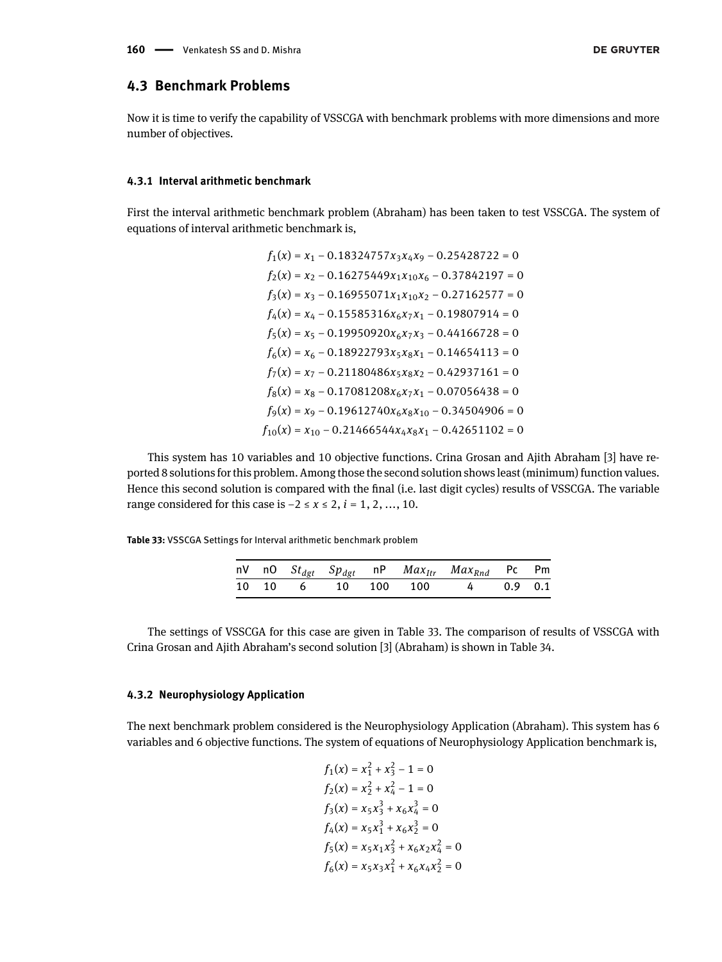### **4.3 Benchmark Problems**

Now it is time to verify the capability of VSSCGA with benchmark problems with more dimensions and more number of objectives.

#### **4.3.1 Interval arithmetic benchmark**

First the interval arithmetic benchmark problem (Abraham) has been taken to test VSSCGA. The system of equations of interval arithmetic benchmark is,

$$
f_1(x) = x_1 - 0.18324757x_3x_4x_9 - 0.25428722 = 0
$$
  
\n
$$
f_2(x) = x_2 - 0.16275449x_1x_{10}x_6 - 0.37842197 = 0
$$
  
\n
$$
f_3(x) = x_3 - 0.16955071x_1x_{10}x_2 - 0.27162577 = 0
$$
  
\n
$$
f_4(x) = x_4 - 0.15585316x_6x_7x_1 - 0.19807914 = 0
$$
  
\n
$$
f_5(x) = x_5 - 0.19950920x_6x_7x_3 - 0.44166728 = 0
$$
  
\n
$$
f_6(x) = x_6 - 0.18922793x_5x_8x_1 - 0.14654113 = 0
$$
  
\n
$$
f_7(x) = x_7 - 0.21180486x_5x_8x_2 - 0.42937161 = 0
$$
  
\n
$$
f_8(x) = x_8 - 0.17081208x_6x_7x_1 - 0.07056438 = 0
$$
  
\n
$$
f_9(x) = x_9 - 0.19612740x_6x_8x_{10} - 0.34504906 = 0
$$
  
\n
$$
f_{10}(x) = x_{10} - 0.21466544x_4x_8x_1 - 0.42651102 = 0
$$

This system has 10 variables and 10 objective functions. Crina Grosan and Ajith Abraham [3] have reported 8 solutions for this problem. Among those the second solution shows least (minimum) function values. Hence this second solution is compared with the final (i.e. last digit cycles) results of VSSCGA. The variable range considered for this case is −2 ≤ *x* ≤ 2, *i* = 1, 2, ..., 10.

**Table 33:** VSSCGA Settings for Interval arithmetic benchmark problem

|  |  |  | nV nO $St_{dgt}$ $Sp_{dgt}$ nP $Max_{Itr}$ $Max_{Rnd}$ Pc Pm |  |
|--|--|--|--------------------------------------------------------------|--|
|  |  |  | 10 10 6 10 100 100 4 0.9 0.1                                 |  |

The settings of VSSCGA for this case are given in Table 33. The comparison of results of VSSCGA with Crina Grosan and Ajith Abraham's second solution [3] (Abraham) is shown in Table 34.

#### **4.3.2 Neurophysiology Application**

The next benchmark problem considered is the Neurophysiology Application (Abraham). This system has 6 variables and 6 objective functions. The system of equations of Neurophysiology Application benchmark is,

$$
f_1(x) = x_1^2 + x_3^2 - 1 = 0
$$
  
\n
$$
f_2(x) = x_2^2 + x_4^2 - 1 = 0
$$
  
\n
$$
f_3(x) = x_5x_3^3 + x_6x_4^3 = 0
$$
  
\n
$$
f_4(x) = x_5x_1^3 + x_6x_2^3 = 0
$$
  
\n
$$
f_5(x) = x_5x_1x_3^2 + x_6x_2x_4^2 = 0
$$
  
\n
$$
f_6(x) = x_5x_3x_1^2 + x_6x_4x_2^2 = 0
$$

 $\overline{0}$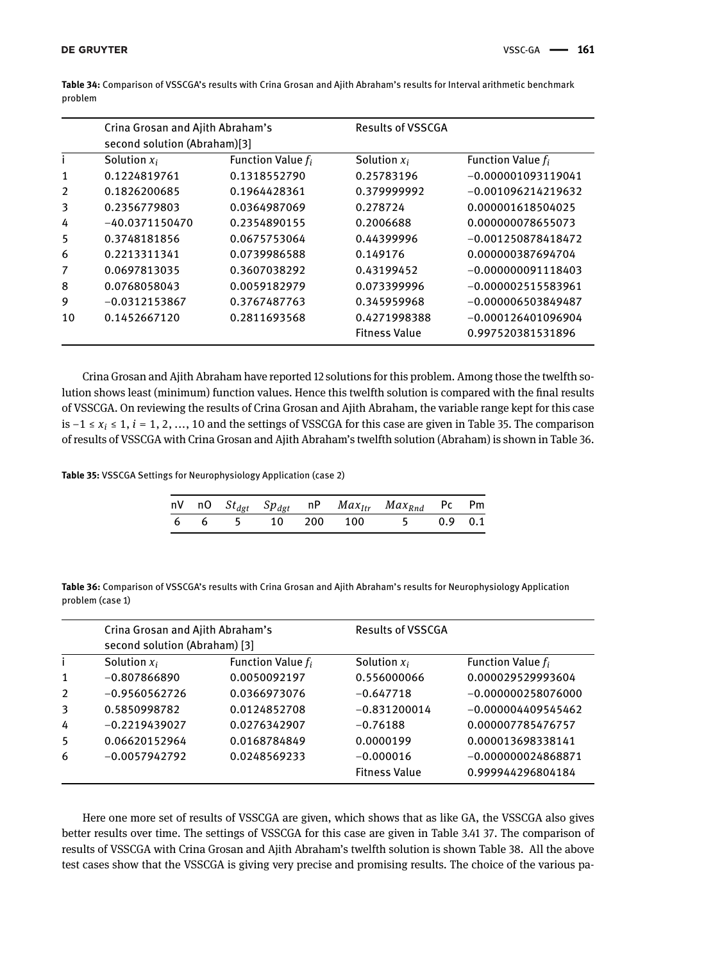|    | Crina Grosan and Ajith Abraham's<br>second solution (Abraham)[3] |                      | <b>Results of VSSCGA</b> |                      |
|----|------------------------------------------------------------------|----------------------|--------------------------|----------------------|
|    | Solution $x_i$                                                   | Function Value $f_i$ | Solution $x_i$           | Function Value $f_i$ |
| 1  | 0.1224819761                                                     | 0.1318552790         | 0.25783196               | $-0.000001093119041$ |
| 2  | 0.1826200685                                                     | 0.1964428361         | 0.379999992              | $-0.001096214219632$ |
| 3  | 0.2356779803                                                     | 0.0364987069         | 0.278724                 | 0.000001618504025    |
| 4  | $-40.0371150470$                                                 | 0.2354890155         | 0.2006688                | 0.000000078655073    |
| 5  | 0.3748181856                                                     | 0.0675753064         | 0.44399996               | $-0.001250878418472$ |
| 6  | 0.2213311341                                                     | 0.0739986588         | 0.149176                 | 0.000000387694704    |
| 7  | 0.0697813035                                                     | 0.3607038292         | 0.43199452               | $-0.000000091118403$ |
| 8  | 0.0768058043                                                     | 0.0059182979         | 0.073399996              | $-0.000002515583961$ |
| 9  | $-0.0312153867$                                                  | 0.3767487763         | 0.345959968              | $-0.000006503849487$ |
| 10 | 0.1452667120                                                     | 0.2811693568         | 0.4271998388             | $-0.000126401096904$ |
|    |                                                                  |                      | <b>Fitness Value</b>     | 0.997520381531896    |

**Table 34:** Comparison of VSSCGA's results with Crina Grosan and Ajith Abraham's results for Interval arithmetic benchmark problem

Crina Grosan and Ajith Abraham have reported 12 solutions for this problem. Among those the twelfth solution shows least (minimum) function values. Hence this twelfth solution is compared with the final results of VSSCGA. On reviewing the results of Crina Grosan and Ajith Abraham, the variable range kept for this case is −1 ≤ *x<sup>i</sup>* ≤ 1, *i* = 1, 2, ..., 10 and the settings of VSSCGA for this case are given in Table 35. The comparison of results of VSSCGA with Crina Grosan and Ajith Abraham's twelfth solution (Abraham) is shown in Table 36.

**Table 35:** VSSCGA Settings for Neurophysiology Application (case 2)

|  |  |  | nV nO $St_{dgt}$ $Sp_{dgt}$ nP $Max_{Itr}$ $Max_{Rnd}$ Pc Pm |  |
|--|--|--|--------------------------------------------------------------|--|
|  |  |  | 6 6 5 10 200 100 5 0.9 0.1                                   |  |

**Table 36:** Comparison of VSSCGA's results with Crina Grosan and Ajith Abraham's results for Neurophysiology Application problem (case 1)

|   | Crina Grosan and Ajith Abraham's<br>second solution (Abraham) [3] |                      | <b>Results of VSSCGA</b> |                      |  |
|---|-------------------------------------------------------------------|----------------------|--------------------------|----------------------|--|
|   | Solution $x_i$                                                    | Function Value $f_i$ | Solution $x_i$           | Function Value $f_i$ |  |
| 1 | $-0.807866890$                                                    | 0.0050092197         | 0.556000066              | 0.000029529993604    |  |
| 2 | $-0.9560562726$                                                   | 0.0366973076         | $-0.647718$              | $-0.000000258076000$ |  |
| 3 | 0.5850998782                                                      | 0.0124852708         | $-0.831200014$           | $-0.000004409545462$ |  |
| 4 | $-0.2219439027$                                                   | 0.0276342907         | $-0.76188$               | 0.000007785476757    |  |
| 5 | 0.06620152964                                                     | 0.0168784849         | 0.0000199                | 0.000013698338141    |  |
| 6 | $-0.0057942792$                                                   | 0.0248569233         | $-0.000016$              | $-0.000000024868871$ |  |
|   |                                                                   |                      | <b>Fitness Value</b>     | 0.999944296804184    |  |

Here one more set of results of VSSCGA are given, which shows that as like GA, the VSSCGA also gives better results over time. The settings of VSSCGA for this case are given in Table 3.41 37. The comparison of results of VSSCGA with Crina Grosan and Ajith Abraham's twelfth solution is shown Table 38. All the above test cases show that the VSSCGA is giving very precise and promising results. The choice of the various pa-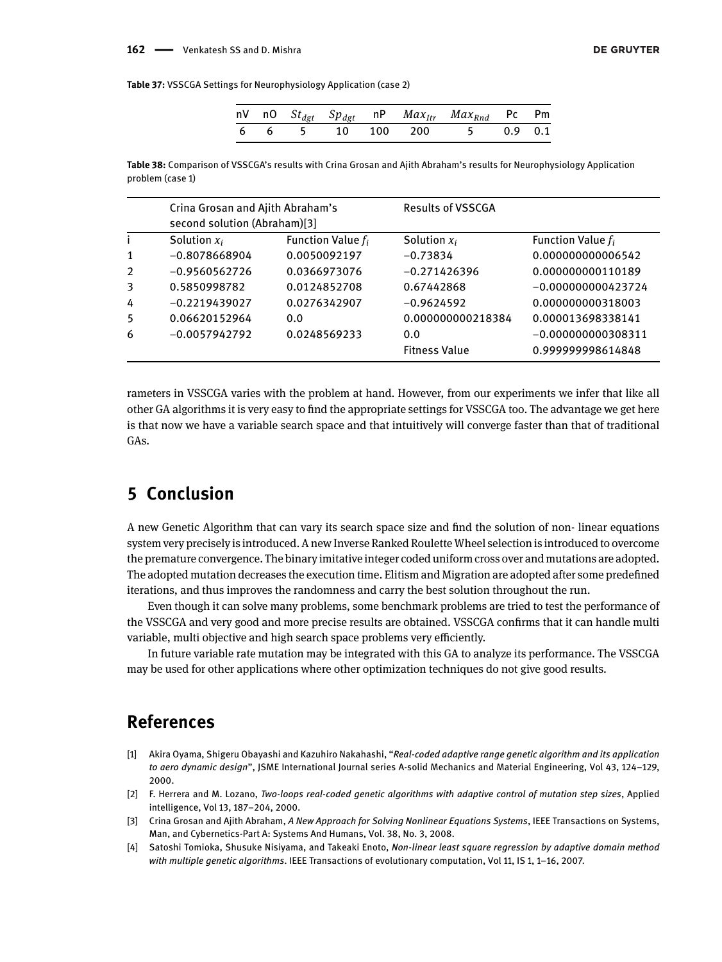#### 162 - Venkatesh SS and D. Mishra

**Table 37:** VSSCGA Settings for Neurophysiology Application (case 2)

|  |  |  | nV nO $St_{dgt}$ $Sp_{dgt}$ nP $Max_{Itr}$ $Max_{Rnd}$ Pc Pm |  |
|--|--|--|--------------------------------------------------------------|--|
|  |  |  | 6 6 5 10 100 200 5 0.9 0.1                                   |  |

**Table 38:** Comparison of VSSCGA's results with Crina Grosan and Ajith Abraham's results for Neurophysiology Application problem (case 1)

|              | Crina Grosan and Ajith Abraham's<br>second solution (Abraham)[3] |                      | <b>Results of VSSCGA</b> |                      |  |
|--------------|------------------------------------------------------------------|----------------------|--------------------------|----------------------|--|
| Ť            | Solution $x_i$                                                   | Function Value $f_i$ | Solution $x_i$           | Function Value $f_i$ |  |
| $\mathbf{1}$ | $-0.8078668904$                                                  | 0.0050092197         | $-0.73834$               | 0.000000000006542    |  |
| 2            | $-0.9560562726$                                                  | 0.0366973076         | $-0.271426396$           | 0.000000000110189    |  |
| 3            | 0.5850998782                                                     | 0.0124852708         | 0.67442868               | $-0.000000000423724$ |  |
| 4            | $-0.2219439027$                                                  | 0.0276342907         | $-0.9624592$             | 0.000000000318003    |  |
| 5            | 0.06620152964                                                    | 0.0                  | 0.000000000218384        | 0.000013698338141    |  |
| 6            | $-0.0057942792$                                                  | 0.0248569233         | 0.0                      | $-0.000000000308311$ |  |
|              |                                                                  |                      | <b>Fitness Value</b>     | 0.999999998614848    |  |

rameters in VSSCGA varies with the problem at hand. However, from our experiments we infer that like all other GA algorithms it is very easy to find the appropriate settings for VSSCGA too. The advantage we get here is that now we have a variable search space and that intuitively will converge faster than that of traditional GAs.

# **5 Conclusion**

A new Genetic Algorithm that can vary its search space size and find the solution of non- linear equations system very precisely is introduced. A new Inverse Ranked Roulette Wheel selection is introduced to overcome the premature convergence. The binary imitative integer coded uniform cross over and mutations are adopted. The adopted mutation decreases the execution time. Elitism and Migration are adopted after some predefined iterations, and thus improves the randomness and carry the best solution throughout the run.

Even though it can solve many problems, some benchmark problems are tried to test the performance of the VSSCGA and very good and more precise results are obtained. VSSCGA confirms that it can handle multi variable, multi objective and high search space problems very efficiently.

In future variable rate mutation may be integrated with this GA to analyze its performance. The VSSCGA may be used for other applications where other optimization techniques do not give good results.

# **References**

- [1] Akira Oyama, Shigeru Obayashi and Kazuhiro Nakahashi, "*Real-coded adaptive range genetic algorithm and its application to aero dynamic design*", JSME International Journal series A-solid Mechanics and Material Engineering, Vol 43, 124–129, 2000.
- [2] F. Herrera and M. Lozano, *Two-loops real-coded genetic algorithms with adaptive control of mutation step sizes*, Applied intelligence, Vol 13, 187–204, 2000.
- [3] Crina Grosan and Ajith Abraham, *A New Approach for Solving Nonlinear Equations Systems*, IEEE Transactions on Systems, Man, and Cybernetics-Part A: Systems And Humans, Vol. 38, No. 3, 2008.
- [4] Satoshi Tomioka, Shusuke Nisiyama, and Takeaki Enoto, *Non-linear least square regression by adaptive domain method with multiple genetic algorithms*. IEEE Transactions of evolutionary computation, Vol 11, IS 1, 1–16, 2007.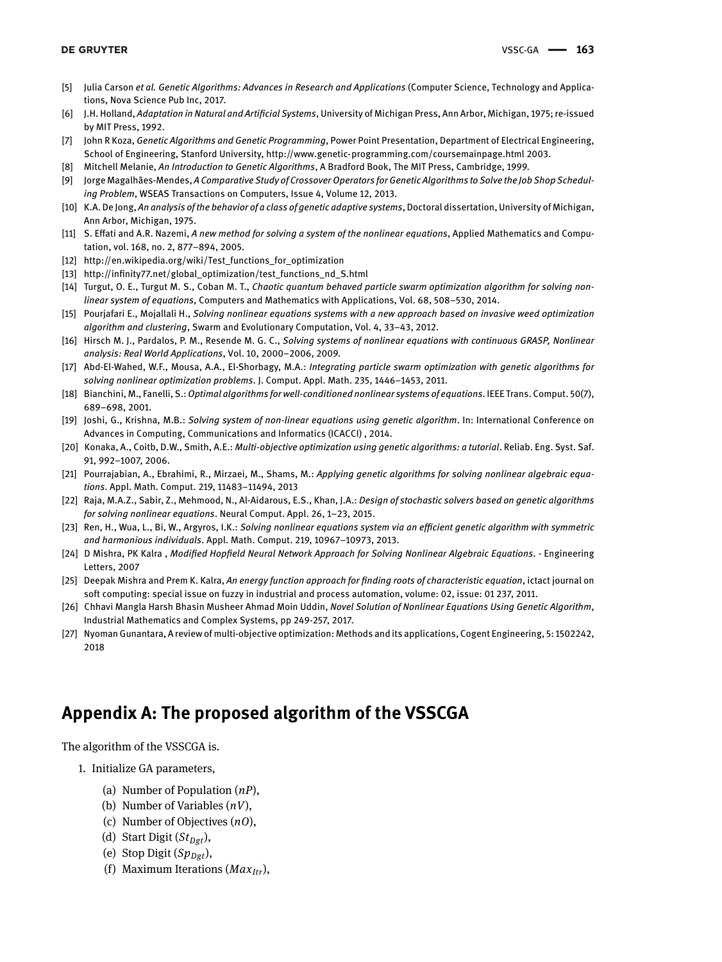- [5] Julia Carson *et al. Genetic Algorithms: Advances in Research and Applications* (Computer Science, Technology and Applications, Nova Science Pub Inc, 2017.
- [6] J.H. Holland, *Adaptation in Natural and Artificial Systems*, University of Michigan Press, Ann Arbor, Michigan, 1975; re-issued by MIT Press, 1992.
- [7] John R Koza, *Genetic Algorithms and Genetic Programming*, Power Point Presentation, Department of Electrical Engineering, School of Engineering, Stanford University, http://www.genetic-programming.com/coursemainpage.html 2003.
- [8] Mitchell Melanie, *An Introduction to Genetic Algorithms*, A Bradford Book, The MIT Press, Cambridge, 1999.
- [9] Jorge Magalhães-Mendes, *A Comparative Study of Crossover Operators for Genetic Algorithms to Solve the Job Shop Scheduling Problem*, WSEAS Transactions on Computers, Issue 4, Volume 12, 2013.
- [10] K.A. De Jong, *An analysis of the behavior of a class of genetic adaptive systems*, Doctoral dissertation, University of Michigan, Ann Arbor, Michigan, 1975.
- [11] S. Effati and A.R. Nazemi, *A new method for solving a system of the nonlinear equations*, Applied Mathematics and Computation, vol. 168, no. 2, 877–894, 2005.
- [12] http://en.wikipedia.org/wiki/Test\_functions\_for\_optimization
- [13] http://infinity77.net/global\_optimization/test\_functions\_nd\_S.html
- [14] Turgut, O. E., Turgut M. S., Coban M. T., *Chaotic quantum behaved particle swarm optimization algorithm for solving nonlinear system of equations*, Computers and Mathematics with Applications, Vol. 68, 508–530, 2014.
- [15] Pourjafari E., Mojallali H., *Solving nonlinear equations systems with a new approach based on invasive weed optimization algorithm and clustering*, Swarm and Evolutionary Computation, Vol. 4, 33–43, 2012.
- [16] Hirsch M. J., Pardalos, P. M., Resende M. G. C., *Solving systems of nonlinear equations with continuous GRASP, Nonlinear analysis: Real World Applications*, Vol. 10, 2000–2006, 2009.
- [17] Abd-El-Wahed, W.F., Mousa, A.A., El-Shorbagy, M.A.: *Integrating particle swarm optimization with genetic algorithms for solving nonlinear optimization problems*. J. Comput. Appl. Math. 235, 1446–1453, 2011.
- [18] Bianchini, M., Fanelli, S.:*Optimal algorithms for well-conditioned nonlinear systems of equations*. IEEE Trans. Comput. 50(7), 689–698, 2001.
- [19] Joshi, G., Krishna, M.B.: *Solving system of non-linear equations using genetic algorithm*. In: International Conference on Advances in Computing, Communications and Informatics (ICACCI) , 2014.
- [20] Konaka, A., Coitb, D.W., Smith, A.E.: *Multi-objective optimization using genetic algorithms: a tutorial*. Reliab. Eng. Syst. Saf. 91, 992–1007, 2006.
- [21] Pourrajabian, A., Ebrahimi, R., Mirzaei, M., Shams, M.: *Applying genetic algorithms for solving nonlinear algebraic equations*. Appl. Math. Comput. 219, 11483–11494, 2013
- [22] Raja, M.A.Z., Sabir, Z., Mehmood, N., Al-Aidarous, E.S., Khan, J.A.: *Design of stochastic solvers based on genetic algorithms for solving nonlinear equations*. Neural Comput. Appl. 26, 1–23, 2015.
- [23] Ren, H., Wua, L., Bi, W., Argyros, I.K.: *Solving nonlinear equations system via an efficient genetic algorithm with symmetric and harmonious individuals*. Appl. Math. Comput. 219, 10967–10973, 2013.
- [24] D Mishra, PK Kalra , *Modified Hopfield Neural Network Approach for Solving Nonlinear Algebraic Equations*. Engineering Letters, 2007
- [25] Deepak Mishra and Prem K. Kalra, *An energy function approach for finding roots of characteristic equation*, ictact journal on soft computing: special issue on fuzzy in industrial and process automation, volume: 02, issue: 01 237, 2011.
- [26] Chhavi Mangla Harsh Bhasin Musheer Ahmad Moin Uddin, *Novel Solution of Nonlinear Equations Using Genetic Algorithm*, Industrial Mathematics and Complex Systems, pp 249-257, 2017.
- [27] Nyoman Gunantara, A review of multi-objective optimization: Methods and its applications, Cogent Engineering, 5: 1502242, 2018

# **Appendix A: The proposed algorithm of the VSSCGA**

The algorithm of the VSSCGA is.

- 1. Initialize GA parameters,
	- (a) Number of Population (*nP*),
	- (b) Number of Variables (*nV*),
	- (c) Number of Objectives (*nO*),
	- (d) Start Digit (*StDgt*),
	- (e) Stop Digit  $(Sp_{Dgt})$ ,
	- (f) Maximum Iterations (*MaxItr*),